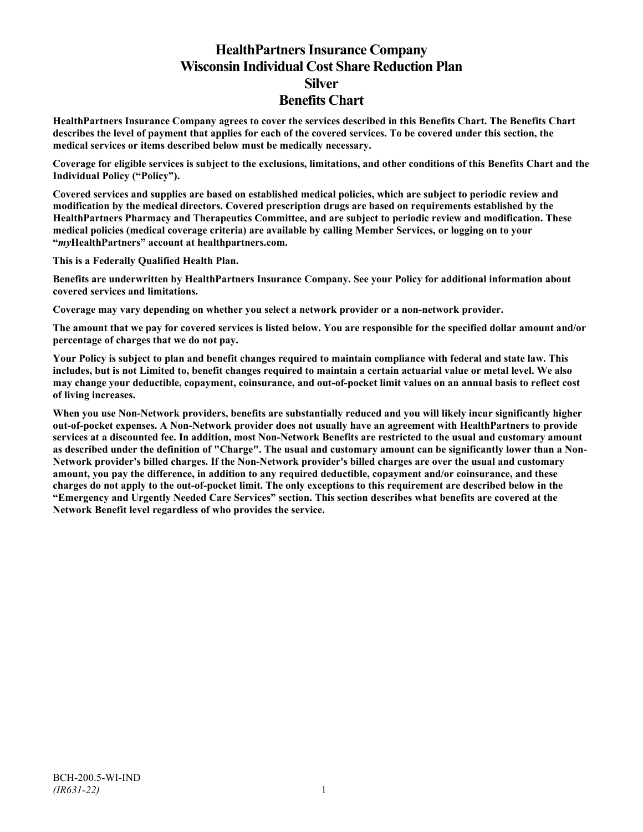# **HealthPartners Insurance Company Wisconsin Individual Cost Share Reduction Plan Silver Benefits Chart**

**HealthPartners Insurance Company agrees to cover the services described in this Benefits Chart. The Benefits Chart describes the level of payment that applies for each of the covered services. To be covered under this section, the medical services or items described below must be medically necessary.**

**Coverage for eligible services is subject to the exclusions, limitations, and other conditions of this Benefits Chart and the Individual Policy ("Policy").**

**Covered services and supplies are based on established medical policies, which are subject to periodic review and modification by the medical directors. Covered prescription drugs are based on requirements established by the HealthPartners Pharmacy and Therapeutics Committee, and are subject to periodic review and modification. These medical policies (medical coverage criteria) are available by calling Member Services, or logging on to your "***my***HealthPartners" account at [healthpartners.com.](http://www.healthpartners.com/)**

**This is a Federally Qualified Health Plan.**

**Benefits are underwritten by HealthPartners Insurance Company. See your Policy for additional information about covered services and limitations.**

**Coverage may vary depending on whether you select a network provider or a non-network provider.**

**The amount that we pay for covered services is listed below. You are responsible for the specified dollar amount and/or percentage of charges that we do not pay.**

**Your Policy is subject to plan and benefit changes required to maintain compliance with federal and state law. This includes, but is not Limited to, benefit changes required to maintain a certain actuarial value or metal level. We also may change your deductible, copayment, coinsurance, and out-of-pocket limit values on an annual basis to reflect cost of living increases.**

**When you use Non-Network providers, benefits are substantially reduced and you will likely incur significantly higher out-of-pocket expenses. A Non-Network provider does not usually have an agreement with HealthPartners to provide services at a discounted fee. In addition, most Non-Network Benefits are restricted to the usual and customary amount as described under the definition of "Charge". The usual and customary amount can be significantly lower than a Non-Network provider's billed charges. If the Non-Network provider's billed charges are over the usual and customary amount, you pay the difference, in addition to any required deductible, copayment and/or coinsurance, and these charges do not apply to the out-of-pocket limit. The only exceptions to this requirement are described below in the "Emergency and Urgently Needed Care Services" section. This section describes what benefits are covered at the Network Benefit level regardless of who provides the service.**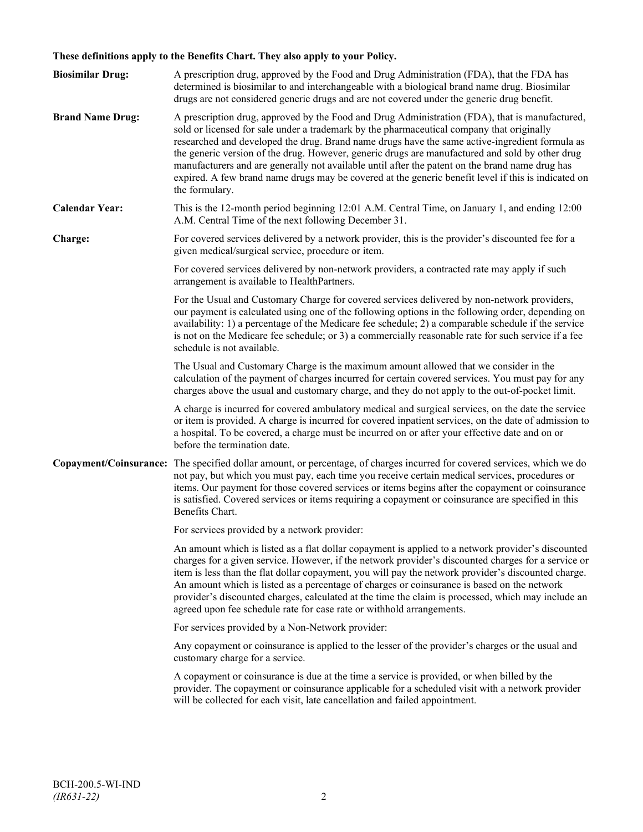# **These definitions apply to the Benefits Chart. They also apply to your Policy.**

| <b>Biosimilar Drug:</b> | A prescription drug, approved by the Food and Drug Administration (FDA), that the FDA has<br>determined is biosimilar to and interchangeable with a biological brand name drug. Biosimilar<br>drugs are not considered generic drugs and are not covered under the generic drug benefit.                                                                                                                                                                                                                                                                                                                                     |
|-------------------------|------------------------------------------------------------------------------------------------------------------------------------------------------------------------------------------------------------------------------------------------------------------------------------------------------------------------------------------------------------------------------------------------------------------------------------------------------------------------------------------------------------------------------------------------------------------------------------------------------------------------------|
| <b>Brand Name Drug:</b> | A prescription drug, approved by the Food and Drug Administration (FDA), that is manufactured,<br>sold or licensed for sale under a trademark by the pharmaceutical company that originally<br>researched and developed the drug. Brand name drugs have the same active-ingredient formula as<br>the generic version of the drug. However, generic drugs are manufactured and sold by other drug<br>manufacturers and are generally not available until after the patent on the brand name drug has<br>expired. A few brand name drugs may be covered at the generic benefit level if this is indicated on<br>the formulary. |
| <b>Calendar Year:</b>   | This is the 12-month period beginning 12:01 A.M. Central Time, on January 1, and ending 12:00<br>A.M. Central Time of the next following December 31.                                                                                                                                                                                                                                                                                                                                                                                                                                                                        |
| Charge:                 | For covered services delivered by a network provider, this is the provider's discounted fee for a<br>given medical/surgical service, procedure or item.                                                                                                                                                                                                                                                                                                                                                                                                                                                                      |
|                         | For covered services delivered by non-network providers, a contracted rate may apply if such<br>arrangement is available to HealthPartners.                                                                                                                                                                                                                                                                                                                                                                                                                                                                                  |
|                         | For the Usual and Customary Charge for covered services delivered by non-network providers,<br>our payment is calculated using one of the following options in the following order, depending on<br>availability: 1) a percentage of the Medicare fee schedule; 2) a comparable schedule if the service<br>is not on the Medicare fee schedule; or 3) a commercially reasonable rate for such service if a fee<br>schedule is not available.                                                                                                                                                                                 |
|                         | The Usual and Customary Charge is the maximum amount allowed that we consider in the<br>calculation of the payment of charges incurred for certain covered services. You must pay for any<br>charges above the usual and customary charge, and they do not apply to the out-of-pocket limit.                                                                                                                                                                                                                                                                                                                                 |
|                         | A charge is incurred for covered ambulatory medical and surgical services, on the date the service<br>or item is provided. A charge is incurred for covered inpatient services, on the date of admission to<br>a hospital. To be covered, a charge must be incurred on or after your effective date and on or<br>before the termination date.                                                                                                                                                                                                                                                                                |
|                         | Copayment/Coinsurance: The specified dollar amount, or percentage, of charges incurred for covered services, which we do<br>not pay, but which you must pay, each time you receive certain medical services, procedures or<br>items. Our payment for those covered services or items begins after the copayment or coinsurance<br>is satisfied. Covered services or items requiring a copayment or coinsurance are specified in this<br>Benefits Chart.                                                                                                                                                                      |
|                         | For services provided by a network provider:                                                                                                                                                                                                                                                                                                                                                                                                                                                                                                                                                                                 |
|                         | An amount which is listed as a flat dollar copayment is applied to a network provider's discounted<br>charges for a given service. However, if the network provider's discounted charges for a service or<br>item is less than the flat dollar copayment, you will pay the network provider's discounted charge.<br>An amount which is listed as a percentage of charges or coinsurance is based on the network<br>provider's discounted charges, calculated at the time the claim is processed, which may include an<br>agreed upon fee schedule rate for case rate or withhold arrangements.                               |
|                         | For services provided by a Non-Network provider:                                                                                                                                                                                                                                                                                                                                                                                                                                                                                                                                                                             |
|                         | Any copayment or coinsurance is applied to the lesser of the provider's charges or the usual and<br>customary charge for a service.                                                                                                                                                                                                                                                                                                                                                                                                                                                                                          |
|                         | A copayment or coinsurance is due at the time a service is provided, or when billed by the<br>provider. The copayment or coinsurance applicable for a scheduled visit with a network provider<br>will be collected for each visit, late cancellation and failed appointment.                                                                                                                                                                                                                                                                                                                                                 |
|                         |                                                                                                                                                                                                                                                                                                                                                                                                                                                                                                                                                                                                                              |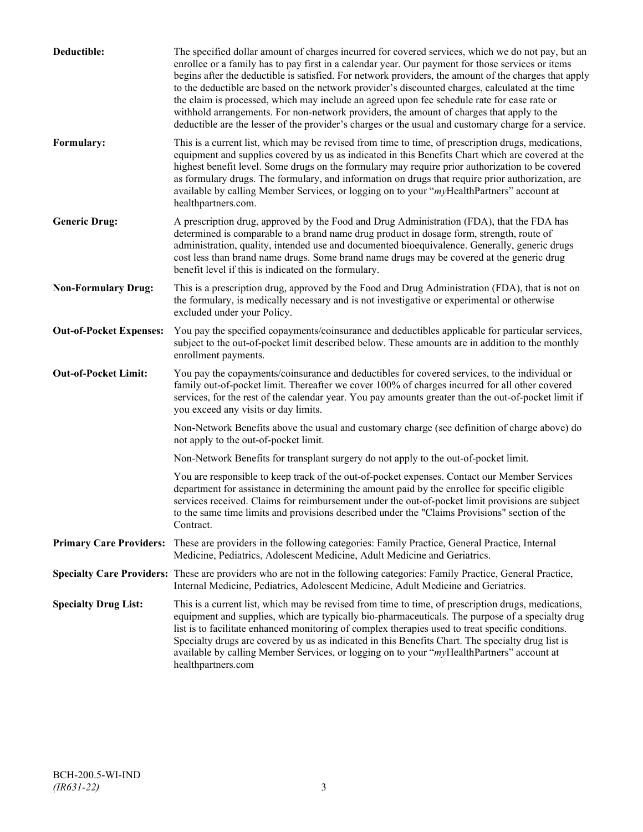| Deductible:                    | The specified dollar amount of charges incurred for covered services, which we do not pay, but an<br>enrollee or a family has to pay first in a calendar year. Our payment for those services or items<br>begins after the deductible is satisfied. For network providers, the amount of the charges that apply<br>to the deductible are based on the network provider's discounted charges, calculated at the time<br>the claim is processed, which may include an agreed upon fee schedule rate for case rate or<br>withhold arrangements. For non-network providers, the amount of charges that apply to the<br>deductible are the lesser of the provider's charges or the usual and customary charge for a service. |
|--------------------------------|-------------------------------------------------------------------------------------------------------------------------------------------------------------------------------------------------------------------------------------------------------------------------------------------------------------------------------------------------------------------------------------------------------------------------------------------------------------------------------------------------------------------------------------------------------------------------------------------------------------------------------------------------------------------------------------------------------------------------|
| Formulary:                     | This is a current list, which may be revised from time to time, of prescription drugs, medications,<br>equipment and supplies covered by us as indicated in this Benefits Chart which are covered at the<br>highest benefit level. Some drugs on the formulary may require prior authorization to be covered<br>as formulary drugs. The formulary, and information on drugs that require prior authorization, are<br>available by calling Member Services, or logging on to your "myHealthPartners" account at<br>healthpartners.com.                                                                                                                                                                                   |
| <b>Generic Drug:</b>           | A prescription drug, approved by the Food and Drug Administration (FDA), that the FDA has<br>determined is comparable to a brand name drug product in dosage form, strength, route of<br>administration, quality, intended use and documented bioequivalence. Generally, generic drugs<br>cost less than brand name drugs. Some brand name drugs may be covered at the generic drug<br>benefit level if this is indicated on the formulary.                                                                                                                                                                                                                                                                             |
| <b>Non-Formulary Drug:</b>     | This is a prescription drug, approved by the Food and Drug Administration (FDA), that is not on<br>the formulary, is medically necessary and is not investigative or experimental or otherwise<br>excluded under your Policy.                                                                                                                                                                                                                                                                                                                                                                                                                                                                                           |
| <b>Out-of-Pocket Expenses:</b> | You pay the specified copayments/coinsurance and deductibles applicable for particular services,<br>subject to the out-of-pocket limit described below. These amounts are in addition to the monthly<br>enrollment payments.                                                                                                                                                                                                                                                                                                                                                                                                                                                                                            |
| <b>Out-of-Pocket Limit:</b>    | You pay the copayments/coinsurance and deductibles for covered services, to the individual or<br>family out-of-pocket limit. Thereafter we cover 100% of charges incurred for all other covered<br>services, for the rest of the calendar year. You pay amounts greater than the out-of-pocket limit if<br>you exceed any visits or day limits.                                                                                                                                                                                                                                                                                                                                                                         |
|                                | Non-Network Benefits above the usual and customary charge (see definition of charge above) do<br>not apply to the out-of-pocket limit.                                                                                                                                                                                                                                                                                                                                                                                                                                                                                                                                                                                  |
|                                | Non-Network Benefits for transplant surgery do not apply to the out-of-pocket limit.                                                                                                                                                                                                                                                                                                                                                                                                                                                                                                                                                                                                                                    |
|                                | You are responsible to keep track of the out-of-pocket expenses. Contact our Member Services<br>department for assistance in determining the amount paid by the enrollee for specific eligible<br>services received. Claims for reimbursement under the out-of-pocket limit provisions are subject<br>to the same time limits and provisions described under the "Claims Provisions" section of the<br>Contract.                                                                                                                                                                                                                                                                                                        |
| <b>Primary Care Providers:</b> | These are providers in the following categories: Family Practice, General Practice, Internal<br>Medicine, Pediatrics, Adolescent Medicine, Adult Medicine and Geriatrics.                                                                                                                                                                                                                                                                                                                                                                                                                                                                                                                                               |
|                                | Specialty Care Providers: These are providers who are not in the following categories: Family Practice, General Practice,<br>Internal Medicine, Pediatrics, Adolescent Medicine, Adult Medicine and Geriatrics.                                                                                                                                                                                                                                                                                                                                                                                                                                                                                                         |
| <b>Specialty Drug List:</b>    | This is a current list, which may be revised from time to time, of prescription drugs, medications,<br>equipment and supplies, which are typically bio-pharmaceuticals. The purpose of a specialty drug<br>list is to facilitate enhanced monitoring of complex therapies used to treat specific conditions.<br>Specialty drugs are covered by us as indicated in this Benefits Chart. The specialty drug list is<br>available by calling Member Services, or logging on to your "myHealthPartners" account at<br>healthpartners.com                                                                                                                                                                                    |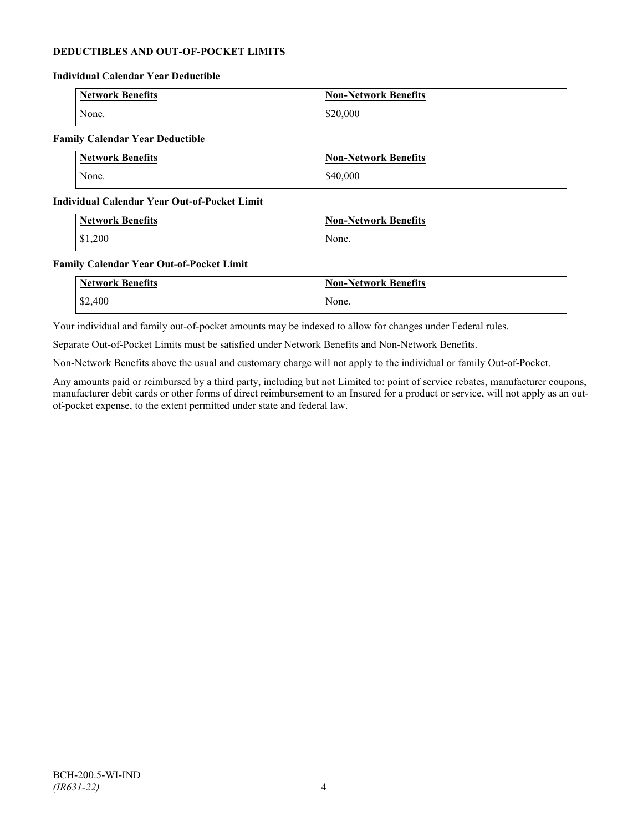# **DEDUCTIBLES AND OUT-OF-POCKET LIMITS**

### **Individual Calendar Year Deductible**

| Network Benefits | <b>Non-Network Benefits</b> |
|------------------|-----------------------------|
| None.            | \$20,000                    |

### **Family Calendar Year Deductible**

| Network Benefits | <b>Non-Network Benefits</b> |
|------------------|-----------------------------|
| None.            | \$40,000                    |

### **Individual Calendar Year Out-of-Pocket Limit**

| Network Benefits | <b>Non-Network Benefits</b> |
|------------------|-----------------------------|
| \$1,200          | None.                       |

### **Family Calendar Year Out-of-Pocket Limit**

| <b>Network Benefits</b> | <b>Non-Network Benefits</b> |
|-------------------------|-----------------------------|
| \$2,400                 | None.                       |

Your individual and family out-of-pocket amounts may be indexed to allow for changes under Federal rules.

Separate Out-of-Pocket Limits must be satisfied under Network Benefits and Non-Network Benefits.

Non-Network Benefits above the usual and customary charge will not apply to the individual or family Out-of-Pocket.

Any amounts paid or reimbursed by a third party, including but not Limited to: point of service rebates, manufacturer coupons, manufacturer debit cards or other forms of direct reimbursement to an Insured for a product or service, will not apply as an outof-pocket expense, to the extent permitted under state and federal law.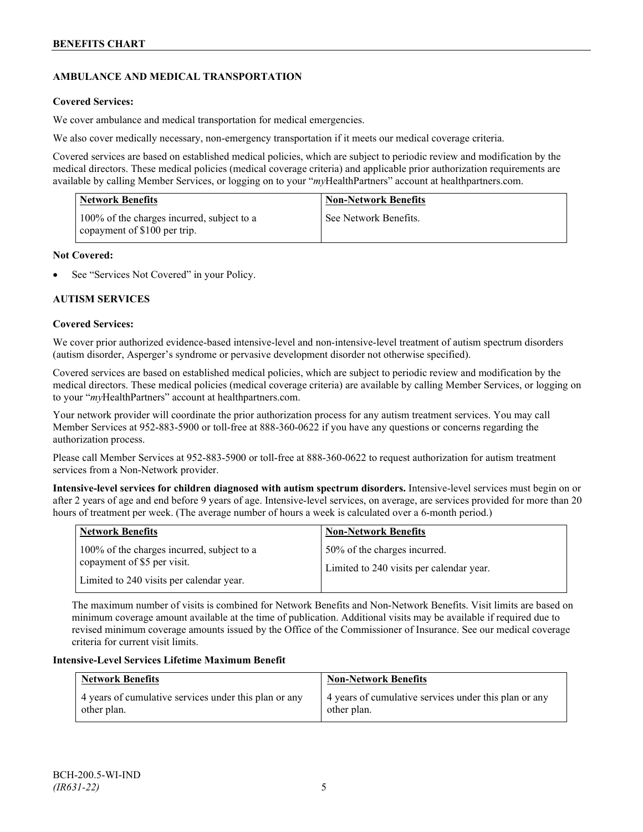# **AMBULANCE AND MEDICAL TRANSPORTATION**

# **Covered Services:**

We cover ambulance and medical transportation for medical emergencies.

We also cover medically necessary, non-emergency transportation if it meets our medical coverage criteria.

Covered services are based on established medical policies, which are subject to periodic review and modification by the medical directors. These medical policies (medical coverage criteria) and applicable prior authorization requirements are available by calling Member Services, or logging on to your "*my*HealthPartners" account a[t healthpartners.com.](http://www.healthpartners.com/)

| <b>Network Benefits</b>                                                    | <b>Non-Network Benefits</b> |
|----------------------------------------------------------------------------|-----------------------------|
| 100% of the charges incurred, subject to a<br>copayment of \$100 per trip. | See Network Benefits.       |

# **Not Covered:**

See "Services Not Covered" in your Policy.

# **AUTISM SERVICES**

### **Covered Services:**

We cover prior authorized evidence-based intensive-level and non-intensive-level treatment of autism spectrum disorders (autism disorder, Asperger's syndrome or pervasive development disorder not otherwise specified).

Covered services are based on established medical policies, which are subject to periodic review and modification by the medical directors. These medical policies (medical coverage criteria) are available by calling Member Services, or logging on to your "*my*HealthPartners" account at [healthpartners.com.](http://www.healthpartners.com/)

Your network provider will coordinate the prior authorization process for any autism treatment services. You may call Member Services at 952-883-5900 or toll-free at 888-360-0622 if you have any questions or concerns regarding the authorization process.

Please call Member Services at 952-883-5900 or toll-free at 888-360-0622 to request authorization for autism treatment services from a Non-Network provider.

**Intensive-level services for children diagnosed with autism spectrum disorders.** Intensive-level services must begin on or after 2 years of age and end before 9 years of age. Intensive-level services, on average, are services provided for more than 20 hours of treatment per week. (The average number of hours a week is calculated over a 6-month period.)

| <b>Network Benefits</b>                                                                                               | <b>Non-Network Benefits</b>                                              |
|-----------------------------------------------------------------------------------------------------------------------|--------------------------------------------------------------------------|
| 100% of the charges incurred, subject to a<br>copayment of \$5 per visit.<br>Limited to 240 visits per calendar year. | 50% of the charges incurred.<br>Limited to 240 visits per calendar year. |

The maximum number of visits is combined for Network Benefits and Non-Network Benefits. Visit limits are based on minimum coverage amount available at the time of publication. Additional visits may be available if required due to revised minimum coverage amounts issued by the Office of the Commissioner of Insurance. See our medical coverage criteria for current visit limits.

# **Intensive-Level Services Lifetime Maximum Benefit**

| <b>Network Benefits</b>                               | <b>Non-Network Benefits</b>                           |
|-------------------------------------------------------|-------------------------------------------------------|
| 4 years of cumulative services under this plan or any | 4 years of cumulative services under this plan or any |
| other plan.                                           | other plan.                                           |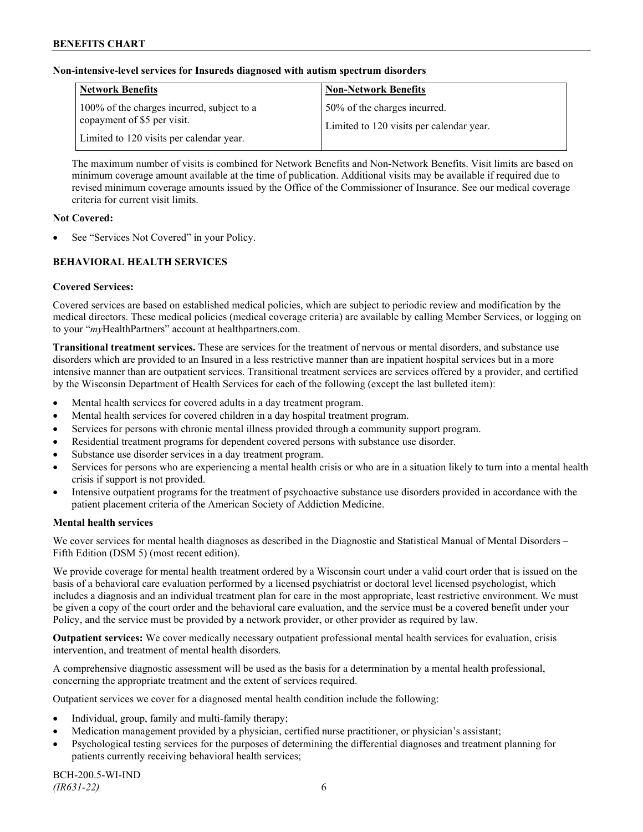# **Non-intensive-level services for Insureds diagnosed with autism spectrum disorders**

| <b>Network Benefits</b>                                                                                               | <b>Non-Network Benefits</b>                                              |
|-----------------------------------------------------------------------------------------------------------------------|--------------------------------------------------------------------------|
| 100% of the charges incurred, subject to a<br>copayment of \$5 per visit.<br>Limited to 120 visits per calendar year. | 50% of the charges incurred.<br>Limited to 120 visits per calendar year. |

The maximum number of visits is combined for Network Benefits and Non-Network Benefits. Visit limits are based on minimum coverage amount available at the time of publication. Additional visits may be available if required due to revised minimum coverage amounts issued by the Office of the Commissioner of Insurance. See our medical coverage criteria for current visit limits.

# **Not Covered:**

See "Services Not Covered" in your Policy.

# **BEHAVIORAL HEALTH SERVICES**

# **Covered Services:**

Covered services are based on established medical policies, which are subject to periodic review and modification by the medical directors. These medical policies (medical coverage criteria) are available by calling Member Services, or logging on to your "*my*HealthPartners" account at [healthpartners.com.](http://www.healthpartners.com/)

**Transitional treatment services.** These are services for the treatment of nervous or mental disorders, and substance use disorders which are provided to an Insured in a less restrictive manner than are inpatient hospital services but in a more intensive manner than are outpatient services. Transitional treatment services are services offered by a provider, and certified by the Wisconsin Department of Health Services for each of the following (except the last bulleted item):

- Mental health services for covered adults in a day treatment program.
- Mental health services for covered children in a day hospital treatment program.
- Services for persons with chronic mental illness provided through a community support program.
- Residential treatment programs for dependent covered persons with substance use disorder.
- Substance use disorder services in a day treatment program.
- Services for persons who are experiencing a mental health crisis or who are in a situation likely to turn into a mental health crisis if support is not provided.
- Intensive outpatient programs for the treatment of psychoactive substance use disorders provided in accordance with the patient placement criteria of the American Society of Addiction Medicine.

# **Mental health services**

We cover services for mental health diagnoses as described in the Diagnostic and Statistical Manual of Mental Disorders – Fifth Edition (DSM 5) (most recent edition).

We provide coverage for mental health treatment ordered by a Wisconsin court under a valid court order that is issued on the basis of a behavioral care evaluation performed by a licensed psychiatrist or doctoral level licensed psychologist, which includes a diagnosis and an individual treatment plan for care in the most appropriate, least restrictive environment. We must be given a copy of the court order and the behavioral care evaluation, and the service must be a covered benefit under your Policy, and the service must be provided by a network provider, or other provider as required by law.

**Outpatient services:** We cover medically necessary outpatient professional mental health services for evaluation, crisis intervention, and treatment of mental health disorders.

A comprehensive diagnostic assessment will be used as the basis for a determination by a mental health professional, concerning the appropriate treatment and the extent of services required.

Outpatient services we cover for a diagnosed mental health condition include the following:

- Individual, group, family and multi-family therapy;
- Medication management provided by a physician, certified nurse practitioner, or physician's assistant;
- Psychological testing services for the purposes of determining the differential diagnoses and treatment planning for patients currently receiving behavioral health services;

BCH-200.5-WI-IND *(IR631-22)* 6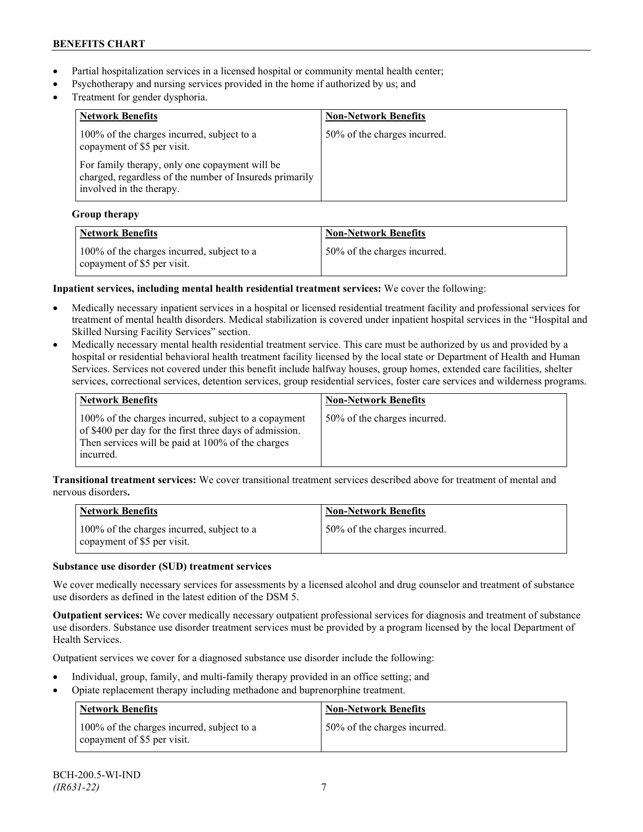- Partial hospitalization services in a licensed hospital or community mental health center;
- Psychotherapy and nursing services provided in the home if authorized by us; and
- Treatment for gender dysphoria.

| <b>Network Benefits</b>                                                                                                               | <b>Non-Network Benefits</b>  |
|---------------------------------------------------------------------------------------------------------------------------------------|------------------------------|
| 100% of the charges incurred, subject to a<br>copayment of \$5 per visit.                                                             | 50% of the charges incurred. |
| For family therapy, only one copayment will be<br>charged, regardless of the number of Insureds primarily<br>involved in the therapy. |                              |

# **Group therapy**

| <b>Network Benefits</b>                                                   | <b>Non-Network Benefits</b>  |
|---------------------------------------------------------------------------|------------------------------|
| 100% of the charges incurred, subject to a<br>copayment of \$5 per visit. | 50% of the charges incurred. |

# **Inpatient services, including mental health residential treatment services:** We cover the following:

- Medically necessary inpatient services in a hospital or licensed residential treatment facility and professional services for treatment of mental health disorders. Medical stabilization is covered under inpatient hospital services in the "Hospital and Skilled Nursing Facility Services" section.
- Medically necessary mental health residential treatment service. This care must be authorized by us and provided by a hospital or residential behavioral health treatment facility licensed by the local state or Department of Health and Human Services. Services not covered under this benefit include halfway houses, group homes, extended care facilities, shelter services, correctional services, detention services, group residential services, foster care services and wilderness programs.

| Network Benefits                                                                                                                                                                  | <b>Non-Network Benefits</b>  |
|-----------------------------------------------------------------------------------------------------------------------------------------------------------------------------------|------------------------------|
| 100% of the charges incurred, subject to a copayment<br>of \$400 per day for the first three days of admission.<br>Then services will be paid at 100% of the charges<br>incurred. | 50% of the charges incurred. |

**Transitional treatment services:** We cover transitional treatment services described above for treatment of mental and nervous disorders**.**

| <b>Network Benefits</b>                                                   | <b>Non-Network Benefits</b>  |
|---------------------------------------------------------------------------|------------------------------|
| 100% of the charges incurred, subject to a<br>copayment of \$5 per visit. | 50% of the charges incurred. |

# **Substance use disorder (SUD) treatment services**

We cover medically necessary services for assessments by a licensed alcohol and drug counselor and treatment of substance use disorders as defined in the latest edition of the DSM 5.

**Outpatient services:** We cover medically necessary outpatient professional services for diagnosis and treatment of substance use disorders. Substance use disorder treatment services must be provided by a program licensed by the local Department of Health Services.

Outpatient services we cover for a diagnosed substance use disorder include the following:

- Individual, group, family, and multi-family therapy provided in an office setting; and
- Opiate replacement therapy including methadone and buprenorphine treatment.

| <b>Network Benefits</b>                                                   | <b>Non-Network Benefits</b>  |
|---------------------------------------------------------------------------|------------------------------|
| 100% of the charges incurred, subject to a<br>copayment of \$5 per visit. | 50% of the charges incurred. |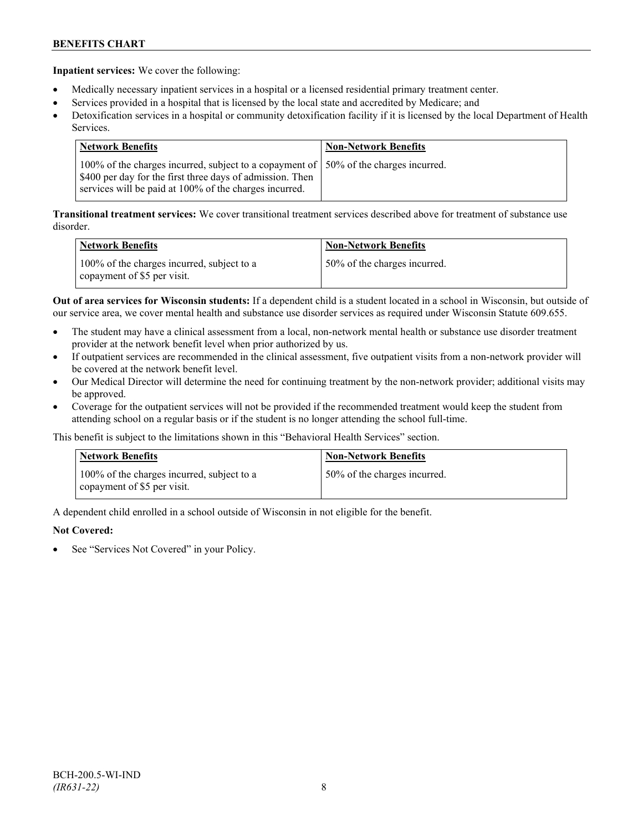**Inpatient services:** We cover the following:

- Medically necessary inpatient services in a hospital or a licensed residential primary treatment center.
- Services provided in a hospital that is licensed by the local state and accredited by Medicare; and
- Detoxification services in a hospital or community detoxification facility if it is licensed by the local Department of Health Services.

| Network Benefits                                                                                                                                                                                             | <b>Non-Network Benefits</b> |
|--------------------------------------------------------------------------------------------------------------------------------------------------------------------------------------------------------------|-----------------------------|
| 100% of the charges incurred, subject to a copayment of 150% of the charges incurred.<br>\$400 per day for the first three days of admission. Then<br>services will be paid at 100% of the charges incurred. |                             |

**Transitional treatment services:** We cover transitional treatment services described above for treatment of substance use disorder.

| <b>Network Benefits</b>                                                   | <b>Non-Network Benefits</b>  |
|---------------------------------------------------------------------------|------------------------------|
| 100% of the charges incurred, subject to a<br>copayment of \$5 per visit. | 50% of the charges incurred. |

**Out of area services for Wisconsin students:** If a dependent child is a student located in a school in Wisconsin, but outside of our service area, we cover mental health and substance use disorder services as required under Wisconsin Statute 609.655.

- The student may have a clinical assessment from a local, non-network mental health or substance use disorder treatment provider at the network benefit level when prior authorized by us.
- If outpatient services are recommended in the clinical assessment, five outpatient visits from a non-network provider will be covered at the network benefit level.
- Our Medical Director will determine the need for continuing treatment by the non-network provider; additional visits may be approved.
- Coverage for the outpatient services will not be provided if the recommended treatment would keep the student from attending school on a regular basis or if the student is no longer attending the school full-time.

This benefit is subject to the limitations shown in this "Behavioral Health Services" section.

| <b>Network Benefits</b>                                                   | <b>Non-Network Benefits</b>  |
|---------------------------------------------------------------------------|------------------------------|
| 100% of the charges incurred, subject to a<br>copayment of \$5 per visit. | 50% of the charges incurred. |

A dependent child enrolled in a school outside of Wisconsin in not eligible for the benefit.

# **Not Covered:**

See "Services Not Covered" in your Policy.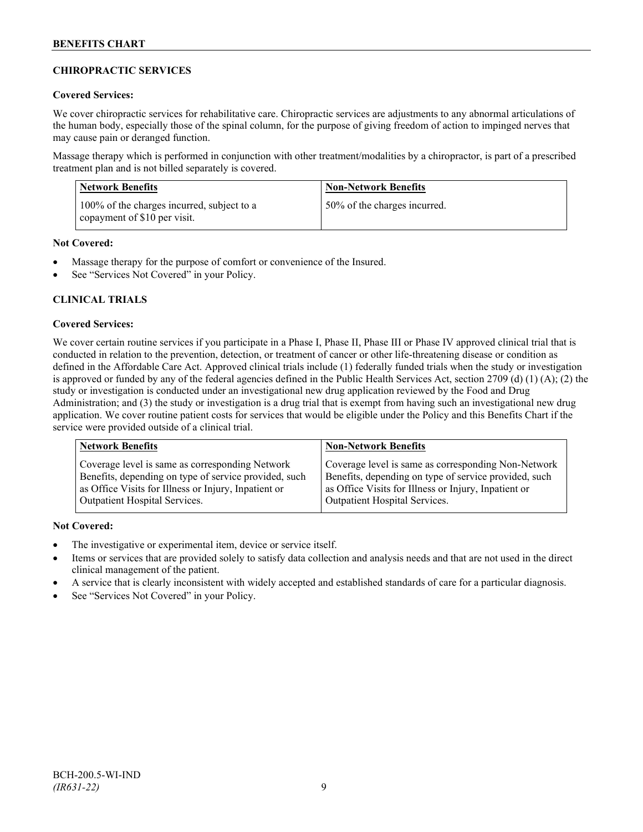# **CHIROPRACTIC SERVICES**

# **Covered Services:**

We cover chiropractic services for rehabilitative care. Chiropractic services are adjustments to any abnormal articulations of the human body, especially those of the spinal column, for the purpose of giving freedom of action to impinged nerves that may cause pain or deranged function.

Massage therapy which is performed in conjunction with other treatment/modalities by a chiropractor, is part of a prescribed treatment plan and is not billed separately is covered.

| Network Benefits                                                           | <b>Non-Network Benefits</b>  |
|----------------------------------------------------------------------------|------------------------------|
| 100% of the charges incurred, subject to a<br>copayment of \$10 per visit. | 50% of the charges incurred. |

# **Not Covered:**

- Massage therapy for the purpose of comfort or convenience of the Insured.
- See "Services Not Covered" in your Policy.

# **CLINICAL TRIALS**

### **Covered Services:**

We cover certain routine services if you participate in a Phase I, Phase II, Phase III or Phase IV approved clinical trial that is conducted in relation to the prevention, detection, or treatment of cancer or other life-threatening disease or condition as defined in the Affordable Care Act. Approved clinical trials include (1) federally funded trials when the study or investigation is approved or funded by any of the federal agencies defined in the Public Health Services Act, section 2709 (d) (1) (A); (2) the study or investigation is conducted under an investigational new drug application reviewed by the Food and Drug Administration; and (3) the study or investigation is a drug trial that is exempt from having such an investigational new drug application. We cover routine patient costs for services that would be eligible under the Policy and this Benefits Chart if the service were provided outside of a clinical trial.

| <b>Network Benefits</b>                               | <b>Non-Network Benefits</b>                           |
|-------------------------------------------------------|-------------------------------------------------------|
| Coverage level is same as corresponding Network       | Coverage level is same as corresponding Non-Network   |
| Benefits, depending on type of service provided, such | Benefits, depending on type of service provided, such |
| as Office Visits for Illness or Injury, Inpatient or  | as Office Visits for Illness or Injury, Inpatient or  |
| Outpatient Hospital Services.                         | Outpatient Hospital Services.                         |

# **Not Covered:**

- The investigative or experimental item, device or service itself.
- Items or services that are provided solely to satisfy data collection and analysis needs and that are not used in the direct clinical management of the patient.
- A service that is clearly inconsistent with widely accepted and established standards of care for a particular diagnosis.
- See "Services Not Covered" in your Policy.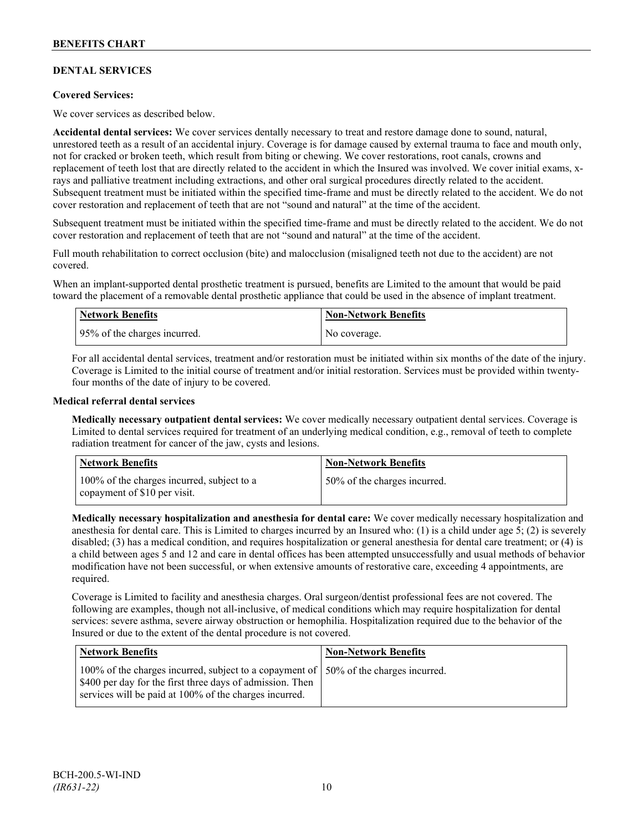# **DENTAL SERVICES**

# **Covered Services:**

We cover services as described below.

**Accidental dental services:** We cover services dentally necessary to treat and restore damage done to sound, natural, unrestored teeth as a result of an accidental injury. Coverage is for damage caused by external trauma to face and mouth only, not for cracked or broken teeth, which result from biting or chewing. We cover restorations, root canals, crowns and replacement of teeth lost that are directly related to the accident in which the Insured was involved. We cover initial exams, xrays and palliative treatment including extractions, and other oral surgical procedures directly related to the accident. Subsequent treatment must be initiated within the specified time-frame and must be directly related to the accident. We do not cover restoration and replacement of teeth that are not "sound and natural" at the time of the accident.

Subsequent treatment must be initiated within the specified time-frame and must be directly related to the accident. We do not cover restoration and replacement of teeth that are not "sound and natural" at the time of the accident.

Full mouth rehabilitation to correct occlusion (bite) and malocclusion (misaligned teeth not due to the accident) are not covered.

When an implant-supported dental prosthetic treatment is pursued, benefits are Limited to the amount that would be paid toward the placement of a removable dental prosthetic appliance that could be used in the absence of implant treatment.

| <b>Network Benefits</b>      | <b>Non-Network Benefits</b> |
|------------------------------|-----------------------------|
| 95% of the charges incurred. | No coverage.                |

For all accidental dental services, treatment and/or restoration must be initiated within six months of the date of the injury. Coverage is Limited to the initial course of treatment and/or initial restoration. Services must be provided within twentyfour months of the date of injury to be covered.

### **Medical referral dental services**

**Medically necessary outpatient dental services:** We cover medically necessary outpatient dental services. Coverage is Limited to dental services required for treatment of an underlying medical condition, e.g., removal of teeth to complete radiation treatment for cancer of the jaw, cysts and lesions.

| Network Benefits                                                           | <b>Non-Network Benefits</b>  |
|----------------------------------------------------------------------------|------------------------------|
| 100% of the charges incurred, subject to a<br>copayment of \$10 per visit. | 50% of the charges incurred. |

**Medically necessary hospitalization and anesthesia for dental care:** We cover medically necessary hospitalization and anesthesia for dental care. This is Limited to charges incurred by an Insured who: (1) is a child under age 5; (2) is severely disabled; (3) has a medical condition, and requires hospitalization or general anesthesia for dental care treatment; or (4) is a child between ages 5 and 12 and care in dental offices has been attempted unsuccessfully and usual methods of behavior modification have not been successful, or when extensive amounts of restorative care, exceeding 4 appointments, are required.

Coverage is Limited to facility and anesthesia charges. Oral surgeon/dentist professional fees are not covered. The following are examples, though not all-inclusive, of medical conditions which may require hospitalization for dental services: severe asthma, severe airway obstruction or hemophilia. Hospitalization required due to the behavior of the Insured or due to the extent of the dental procedure is not covered.

| Network Benefits                                                                                                                                                                                              | <b>Non-Network Benefits</b> |
|---------------------------------------------------------------------------------------------------------------------------------------------------------------------------------------------------------------|-----------------------------|
| 100% of the charges incurred, subject to a copayment of   50% of the charges incurred.<br>\$400 per day for the first three days of admission. Then<br>services will be paid at 100% of the charges incurred. |                             |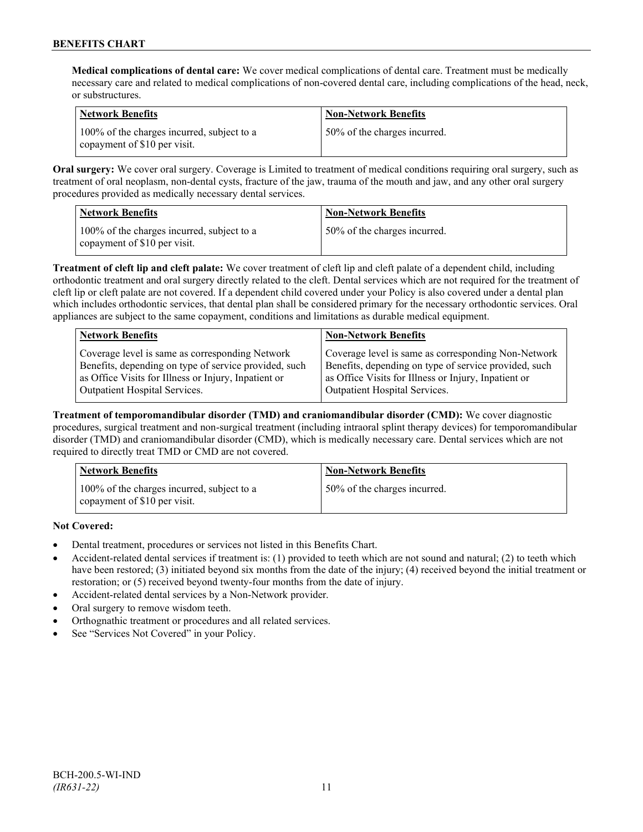**Medical complications of dental care:** We cover medical complications of dental care. Treatment must be medically necessary care and related to medical complications of non-covered dental care, including complications of the head, neck, or substructures.

| Network Benefits                                                             | <b>Non-Network Benefits</b>  |
|------------------------------------------------------------------------------|------------------------------|
| 100% of the charges incurred, subject to a<br>I copayment of \$10 per visit. | 50% of the charges incurred. |

**Oral surgery:** We cover oral surgery. Coverage is Limited to treatment of medical conditions requiring oral surgery, such as treatment of oral neoplasm, non-dental cysts, fracture of the jaw, trauma of the mouth and jaw, and any other oral surgery procedures provided as medically necessary dental services.

| Network Benefits                                                           | <b>Non-Network Benefits</b>   |
|----------------------------------------------------------------------------|-------------------------------|
| 100% of the charges incurred, subject to a<br>copayment of \$10 per visit. | 150% of the charges incurred. |

**Treatment of cleft lip and cleft palate:** We cover treatment of cleft lip and cleft palate of a dependent child, including orthodontic treatment and oral surgery directly related to the cleft. Dental services which are not required for the treatment of cleft lip or cleft palate are not covered. If a dependent child covered under your Policy is also covered under a dental plan which includes orthodontic services, that dental plan shall be considered primary for the necessary orthodontic services. Oral appliances are subject to the same copayment, conditions and limitations as durable medical equipment.

| <b>Network Benefits</b>                               | <b>Non-Network Benefits</b>                           |
|-------------------------------------------------------|-------------------------------------------------------|
| Coverage level is same as corresponding Network       | Coverage level is same as corresponding Non-Network   |
| Benefits, depending on type of service provided, such | Benefits, depending on type of service provided, such |
| as Office Visits for Illness or Injury, Inpatient or  | as Office Visits for Illness or Injury, Inpatient or  |
| Outpatient Hospital Services.                         | Outpatient Hospital Services.                         |

**Treatment of temporomandibular disorder (TMD) and craniomandibular disorder (CMD):** We cover diagnostic procedures, surgical treatment and non-surgical treatment (including intraoral splint therapy devices) for temporomandibular disorder (TMD) and craniomandibular disorder (CMD), which is medically necessary care. Dental services which are not required to directly treat TMD or CMD are not covered.

| <b>Network Benefits</b>                                                    | <b>Non-Network Benefits</b>  |
|----------------------------------------------------------------------------|------------------------------|
| 100% of the charges incurred, subject to a<br>copayment of \$10 per visit. | 50% of the charges incurred. |

**Not Covered:**

- Dental treatment, procedures or services not listed in this Benefits Chart.
- Accident-related dental services if treatment is: (1) provided to teeth which are not sound and natural; (2) to teeth which have been restored; (3) initiated beyond six months from the date of the injury; (4) received beyond the initial treatment or restoration; or (5) received beyond twenty-four months from the date of injury.
- Accident-related dental services by a Non-Network provider.
- Oral surgery to remove wisdom teeth.
- Orthognathic treatment or procedures and all related services.
- See "Services Not Covered" in your Policy.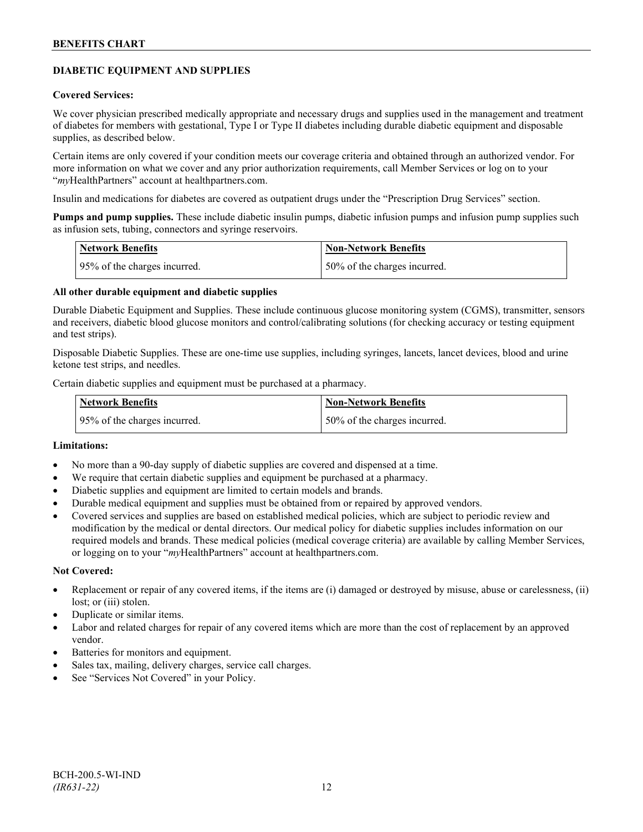# **DIABETIC EQUIPMENT AND SUPPLIES**

### **Covered Services:**

We cover physician prescribed medically appropriate and necessary drugs and supplies used in the management and treatment of diabetes for members with gestational, Type I or Type II diabetes including durable diabetic equipment and disposable supplies, as described below.

Certain items are only covered if your condition meets our coverage criteria and obtained through an authorized vendor. For more information on what we cover and any prior authorization requirements, call Member Services or log on to your "*my*HealthPartners" account at [healthpartners.com.](http://www.healthpartners.com/)

Insulin and medications for diabetes are covered as outpatient drugs under the "Prescription Drug Services" section.

**Pumps and pump supplies.** These include diabetic insulin pumps, diabetic infusion pumps and infusion pump supplies such as infusion sets, tubing, connectors and syringe reservoirs.

| <b>Network Benefits</b>      | <b>Non-Network Benefits</b>  |
|------------------------------|------------------------------|
| 95% of the charges incurred. | 50% of the charges incurred. |

# **All other durable equipment and diabetic supplies**

Durable Diabetic Equipment and Supplies. These include continuous glucose monitoring system (CGMS), transmitter, sensors and receivers, diabetic blood glucose monitors and control/calibrating solutions (for checking accuracy or testing equipment and test strips).

Disposable Diabetic Supplies. These are one-time use supplies, including syringes, lancets, lancet devices, blood and urine ketone test strips, and needles.

Certain diabetic supplies and equipment must be purchased at a pharmacy.

| <b>Network Benefits</b>       | <b>Non-Network Benefits</b>   |
|-------------------------------|-------------------------------|
| 195% of the charges incurred. | 150% of the charges incurred. |

# **Limitations:**

- No more than a 90-day supply of diabetic supplies are covered and dispensed at a time.
- We require that certain diabetic supplies and equipment be purchased at a pharmacy.
- Diabetic supplies and equipment are limited to certain models and brands.
- Durable medical equipment and supplies must be obtained from or repaired by approved vendors.
- Covered services and supplies are based on established medical policies, which are subject to periodic review and modification by the medical or dental directors. Our medical policy for diabetic supplies includes information on our required models and brands. These medical policies (medical coverage criteria) are available by calling Member Services, or logging on to your "*my*HealthPartners" account at healthpartners.com.

#### **Not Covered:**

- Replacement or repair of any covered items, if the items are (i) damaged or destroyed by misuse, abuse or carelessness, (ii) lost; or (iii) stolen.
- Duplicate or similar items.
- Labor and related charges for repair of any covered items which are more than the cost of replacement by an approved vendor.
- Batteries for monitors and equipment.
- Sales tax, mailing, delivery charges, service call charges.
- See "Services Not Covered" in your Policy.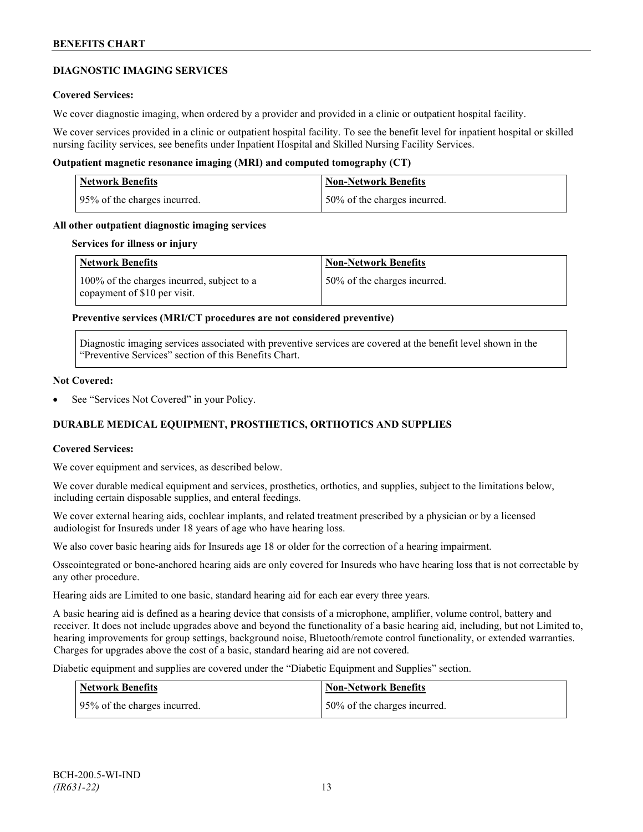# **DIAGNOSTIC IMAGING SERVICES**

# **Covered Services:**

We cover diagnostic imaging, when ordered by a provider and provided in a clinic or outpatient hospital facility.

We cover services provided in a clinic or outpatient hospital facility. To see the benefit level for inpatient hospital or skilled nursing facility services, see benefits under Inpatient Hospital and Skilled Nursing Facility Services.

# **Outpatient magnetic resonance imaging (MRI) and computed tomography (CT)**

| Network Benefits             | <b>Non-Network Benefits</b>  |
|------------------------------|------------------------------|
| 95% of the charges incurred. | 50% of the charges incurred. |

### **All other outpatient diagnostic imaging services**

#### **Services for illness or injury**

| <b>Network Benefits</b>                                                    | <b>Non-Network Benefits</b>  |
|----------------------------------------------------------------------------|------------------------------|
| 100% of the charges incurred, subject to a<br>copayment of \$10 per visit. | 50% of the charges incurred. |

### **Preventive services (MRI/CT procedures are not considered preventive)**

Diagnostic imaging services associated with preventive services are covered at the benefit level shown in the "Preventive Services" section of this Benefits Chart.

#### **Not Covered:**

See "Services Not Covered" in your Policy.

# **DURABLE MEDICAL EQUIPMENT, PROSTHETICS, ORTHOTICS AND SUPPLIES**

#### **Covered Services:**

We cover equipment and services, as described below.

We cover durable medical equipment and services, prosthetics, orthotics, and supplies, subject to the limitations below, including certain disposable supplies, and enteral feedings.

We cover external hearing aids, cochlear implants, and related treatment prescribed by a physician or by a licensed audiologist for Insureds under 18 years of age who have hearing loss.

We also cover basic hearing aids for Insureds age 18 or older for the correction of a hearing impairment.

Osseointegrated or bone-anchored hearing aids are only covered for Insureds who have hearing loss that is not correctable by any other procedure.

Hearing aids are Limited to one basic, standard hearing aid for each ear every three years.

A basic hearing aid is defined as a hearing device that consists of a microphone, amplifier, volume control, battery and receiver. It does not include upgrades above and beyond the functionality of a basic hearing aid, including, but not Limited to, hearing improvements for group settings, background noise, Bluetooth/remote control functionality, or extended warranties. Charges for upgrades above the cost of a basic, standard hearing aid are not covered.

Diabetic equipment and supplies are covered under the "Diabetic Equipment and Supplies" section.

| <b>Network Benefits</b>      | <b>Non-Network Benefits</b>  |
|------------------------------|------------------------------|
| 95% of the charges incurred. | 50% of the charges incurred. |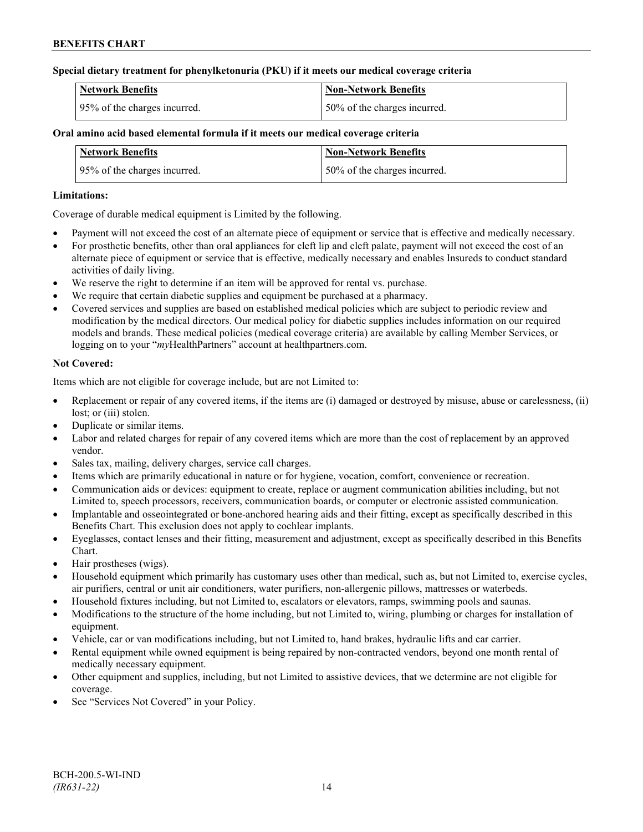# **Special dietary treatment for phenylketonuria (PKU) if it meets our medical coverage criteria**

| <b>Network Benefits</b>      | Non-Network Benefits         |
|------------------------------|------------------------------|
| 95% of the charges incurred. | 50% of the charges incurred. |

# **Oral amino acid based elemental formula if it meets our medical coverage criteria**

| <b>Network Benefits</b>      | <b>Non-Network Benefits</b>  |
|------------------------------|------------------------------|
| 95% of the charges incurred. | 50% of the charges incurred. |

# **Limitations:**

Coverage of durable medical equipment is Limited by the following.

- Payment will not exceed the cost of an alternate piece of equipment or service that is effective and medically necessary.
- For prosthetic benefits, other than oral appliances for cleft lip and cleft palate, payment will not exceed the cost of an alternate piece of equipment or service that is effective, medically necessary and enables Insureds to conduct standard activities of daily living.
- We reserve the right to determine if an item will be approved for rental vs. purchase.
- We require that certain diabetic supplies and equipment be purchased at a pharmacy.
- Covered services and supplies are based on established medical policies which are subject to periodic review and modification by the medical directors. Our medical policy for diabetic supplies includes information on our required models and brands. These medical policies (medical coverage criteria) are available by calling Member Services, or logging on to your "*my*HealthPartners" account at [healthpartners.com.](http://www.healthpartners.com/)

# **Not Covered:**

Items which are not eligible for coverage include, but are not Limited to:

- Replacement or repair of any covered items, if the items are (i) damaged or destroyed by misuse, abuse or carelessness, (ii) lost; or *(iii)* stolen.
- Duplicate or similar items.
- Labor and related charges for repair of any covered items which are more than the cost of replacement by an approved vendor.
- Sales tax, mailing, delivery charges, service call charges.
- Items which are primarily educational in nature or for hygiene, vocation, comfort, convenience or recreation.
- Communication aids or devices: equipment to create, replace or augment communication abilities including, but not Limited to, speech processors, receivers, communication boards, or computer or electronic assisted communication.
- Implantable and osseointegrated or bone-anchored hearing aids and their fitting, except as specifically described in this Benefits Chart. This exclusion does not apply to cochlear implants.
- Eyeglasses, contact lenses and their fitting, measurement and adjustment, except as specifically described in this Benefits Chart.
- Hair prostheses (wigs).
- Household equipment which primarily has customary uses other than medical, such as, but not Limited to, exercise cycles, air purifiers, central or unit air conditioners, water purifiers, non-allergenic pillows, mattresses or waterbeds.
- Household fixtures including, but not Limited to, escalators or elevators, ramps, swimming pools and saunas.
- Modifications to the structure of the home including, but not Limited to, wiring, plumbing or charges for installation of equipment.
- Vehicle, car or van modifications including, but not Limited to, hand brakes, hydraulic lifts and car carrier.
- Rental equipment while owned equipment is being repaired by non-contracted vendors, beyond one month rental of medically necessary equipment.
- Other equipment and supplies, including, but not Limited to assistive devices, that we determine are not eligible for coverage.
- See "Services Not Covered" in your Policy.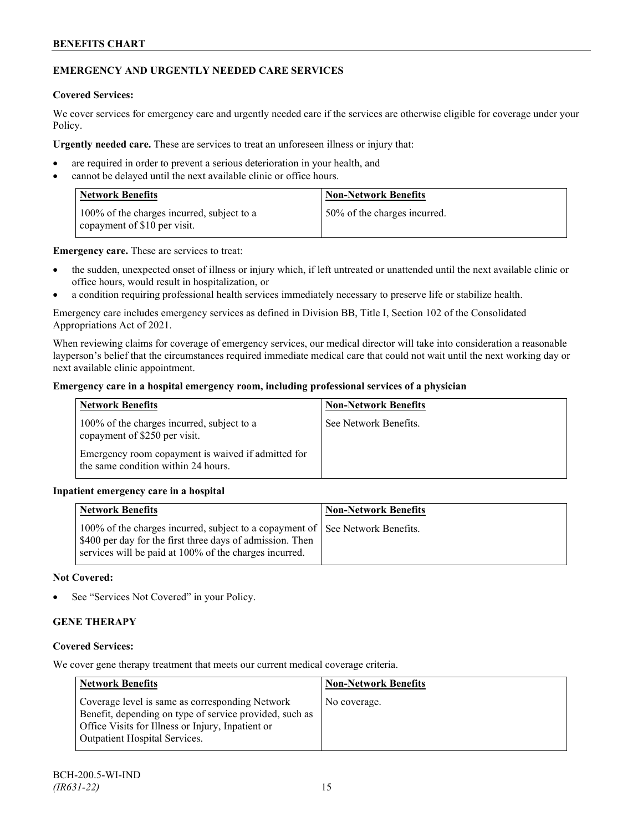# **EMERGENCY AND URGENTLY NEEDED CARE SERVICES**

### **Covered Services:**

We cover services for emergency care and urgently needed care if the services are otherwise eligible for coverage under your Policy.

**Urgently needed care.** These are services to treat an unforeseen illness or injury that:

- are required in order to prevent a serious deterioration in your health, and
- cannot be delayed until the next available clinic or office hours.

| <b>Network Benefits</b>                                                    | <b>Non-Network Benefits</b>  |
|----------------------------------------------------------------------------|------------------------------|
| 100% of the charges incurred, subject to a<br>copayment of \$10 per visit. | 50% of the charges incurred. |

**Emergency care.** These are services to treat:

- the sudden, unexpected onset of illness or injury which, if left untreated or unattended until the next available clinic or office hours, would result in hospitalization, or
- a condition requiring professional health services immediately necessary to preserve life or stabilize health.

Emergency care includes emergency services as defined in Division BB, Title I, Section 102 of the Consolidated Appropriations Act of 2021.

When reviewing claims for coverage of emergency services, our medical director will take into consideration a reasonable layperson's belief that the circumstances required immediate medical care that could not wait until the next working day or next available clinic appointment.

# **Emergency care in a hospital emergency room, including professional services of a physician**

| <b>Network Benefits</b>                                                                   | <b>Non-Network Benefits</b> |
|-------------------------------------------------------------------------------------------|-----------------------------|
| 100% of the charges incurred, subject to a<br>copayment of \$250 per visit.               | See Network Benefits.       |
| Emergency room copayment is waived if admitted for<br>the same condition within 24 hours. |                             |

# **Inpatient emergency care in a hospital**

| <b>Network Benefits</b>                                                                                                                                                                             | <b>Non-Network Benefits</b> |
|-----------------------------------------------------------------------------------------------------------------------------------------------------------------------------------------------------|-----------------------------|
| 100% of the charges incurred, subject to a copayment of See Network Benefits.<br>S400 per day for the first three days of admission. Then<br>services will be paid at 100% of the charges incurred. |                             |

### **Not Covered:**

See "Services Not Covered" in your Policy.

# **GENE THERAPY**

# **Covered Services:**

We cover gene therapy treatment that meets our current medical coverage criteria.

| <b>Network Benefits</b>                                                                                                                                                                                 | <b>Non-Network Benefits</b> |
|---------------------------------------------------------------------------------------------------------------------------------------------------------------------------------------------------------|-----------------------------|
| Coverage level is same as corresponding Network<br>Benefit, depending on type of service provided, such as<br>Office Visits for Illness or Injury, Inpatient or<br><b>Outpatient Hospital Services.</b> | No coverage.                |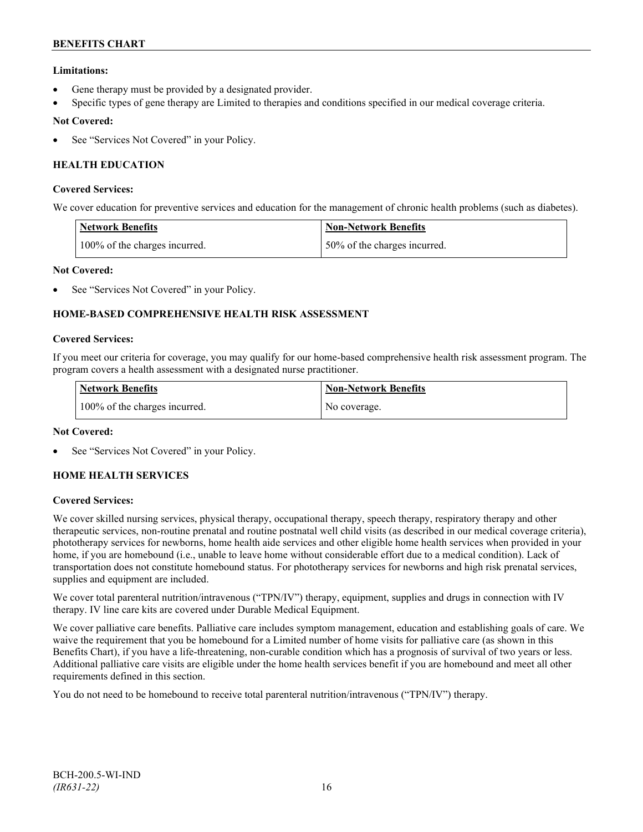# **Limitations:**

- Gene therapy must be provided by a designated provider.
- Specific types of gene therapy are Limited to therapies and conditions specified in our medical coverage criteria.

# **Not Covered:**

See "Services Not Covered" in your Policy.

# **HEALTH EDUCATION**

### **Covered Services:**

We cover education for preventive services and education for the management of chronic health problems (such as diabetes).

| <b>Network Benefits</b>       | <b>Non-Network Benefits</b>  |
|-------------------------------|------------------------------|
| 100% of the charges incurred. | 50% of the charges incurred. |

# **Not Covered:**

See "Services Not Covered" in your Policy.

# **HOME-BASED COMPREHENSIVE HEALTH RISK ASSESSMENT**

### **Covered Services:**

If you meet our criteria for coverage, you may qualify for our home-based comprehensive health risk assessment program. The program covers a health assessment with a designated nurse practitioner.

| <b>Network Benefits</b>       | <b>Non-Network Benefits</b> |
|-------------------------------|-----------------------------|
| 100% of the charges incurred. | No coverage.                |

# **Not Covered:**

See "Services Not Covered" in your Policy.

# **HOME HEALTH SERVICES**

# **Covered Services:**

We cover skilled nursing services, physical therapy, occupational therapy, speech therapy, respiratory therapy and other therapeutic services, non-routine prenatal and routine postnatal well child visits (as described in our medical coverage criteria), phototherapy services for newborns, home health aide services and other eligible home health services when provided in your home, if you are homebound (i.e., unable to leave home without considerable effort due to a medical condition). Lack of transportation does not constitute homebound status. For phototherapy services for newborns and high risk prenatal services, supplies and equipment are included.

We cover total parenteral nutrition/intravenous ("TPN/IV") therapy, equipment, supplies and drugs in connection with IV therapy. IV line care kits are covered under Durable Medical Equipment.

We cover palliative care benefits. Palliative care includes symptom management, education and establishing goals of care. We waive the requirement that you be homebound for a Limited number of home visits for palliative care (as shown in this Benefits Chart), if you have a life-threatening, non-curable condition which has a prognosis of survival of two years or less. Additional palliative care visits are eligible under the home health services benefit if you are homebound and meet all other requirements defined in this section.

You do not need to be homebound to receive total parenteral nutrition/intravenous ("TPN/IV") therapy.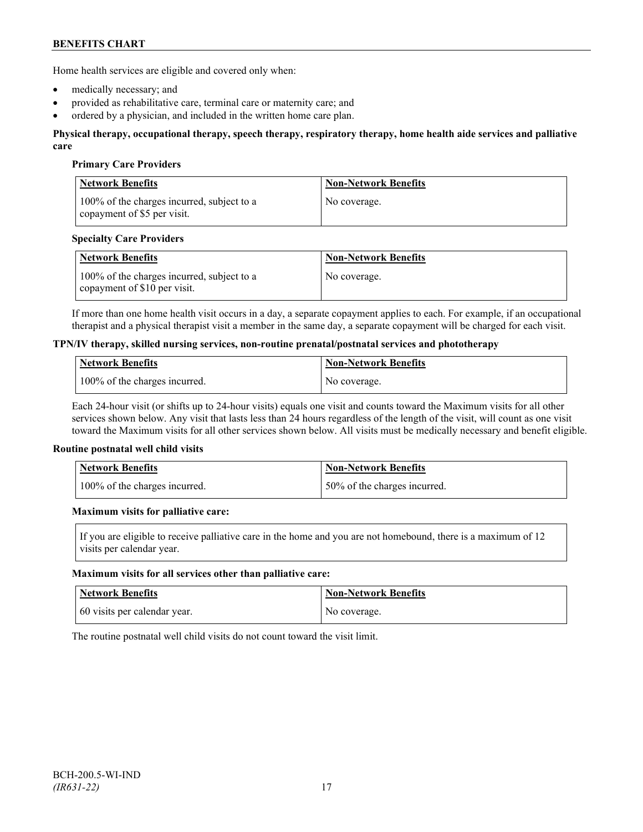Home health services are eligible and covered only when:

- medically necessary; and
- provided as rehabilitative care, terminal care or maternity care; and
- ordered by a physician, and included in the written home care plan.

#### **Physical therapy, occupational therapy, speech therapy, respiratory therapy, home health aide services and palliative care**

### **Primary Care Providers**

| <b>Network Benefits</b>                                                   | <b>Non-Network Benefits</b> |
|---------------------------------------------------------------------------|-----------------------------|
| 100% of the charges incurred, subject to a<br>copayment of \$5 per visit. | No coverage.                |

### **Specialty Care Providers**

| <b>Network Benefits</b>                                                       | <b>Non-Network Benefits</b> |
|-------------------------------------------------------------------------------|-----------------------------|
| 100% of the charges incurred, subject to a<br>I copayment of $$10$ per visit. | No coverage.                |

If more than one home health visit occurs in a day, a separate copayment applies to each. For example, if an occupational therapist and a physical therapist visit a member in the same day, a separate copayment will be charged for each visit.

#### **TPN/IV therapy, skilled nursing services, non-routine prenatal/postnatal services and phototherapy**

| <b>Network Benefits</b>       | Non-Network Benefits |
|-------------------------------|----------------------|
| 100% of the charges incurred. | No coverage.         |

Each 24-hour visit (or shifts up to 24-hour visits) equals one visit and counts toward the Maximum visits for all other services shown below. Any visit that lasts less than 24 hours regardless of the length of the visit, will count as one visit toward the Maximum visits for all other services shown below. All visits must be medically necessary and benefit eligible.

#### **Routine postnatal well child visits**

| <b>Network Benefits</b>       | <b>Non-Network Benefits</b>  |
|-------------------------------|------------------------------|
| 100% of the charges incurred. | 50% of the charges incurred. |

#### **Maximum visits for palliative care:**

If you are eligible to receive palliative care in the home and you are not homebound, there is a maximum of 12 visits per calendar year.

#### **Maximum visits for all services other than palliative care:**

| Network Benefits             | <b>Non-Network Benefits</b> |
|------------------------------|-----------------------------|
| 60 visits per calendar year. | No coverage.                |

The routine postnatal well child visits do not count toward the visit limit.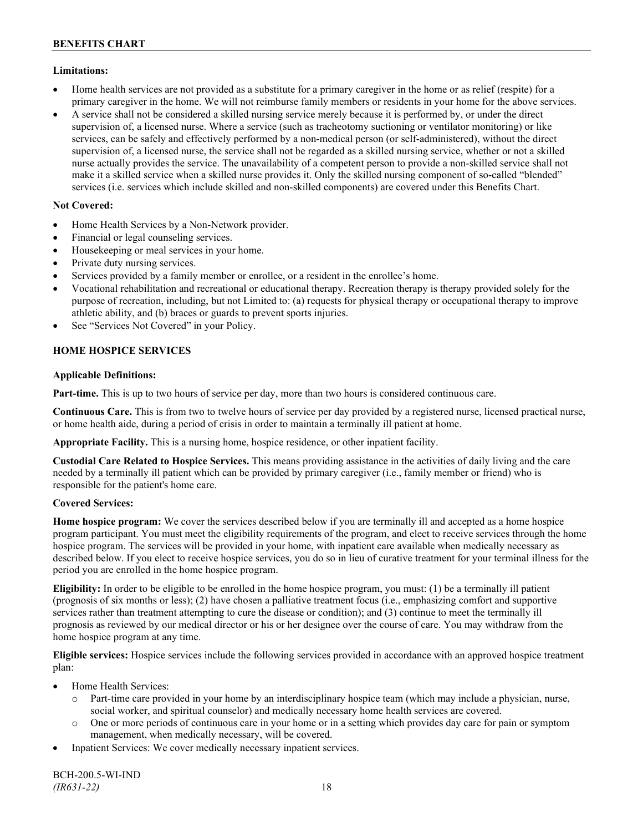# **Limitations:**

- Home health services are not provided as a substitute for a primary caregiver in the home or as relief (respite) for a primary caregiver in the home. We will not reimburse family members or residents in your home for the above services.
- A service shall not be considered a skilled nursing service merely because it is performed by, or under the direct supervision of, a licensed nurse. Where a service (such as tracheotomy suctioning or ventilator monitoring) or like services, can be safely and effectively performed by a non-medical person (or self-administered), without the direct supervision of, a licensed nurse, the service shall not be regarded as a skilled nursing service, whether or not a skilled nurse actually provides the service. The unavailability of a competent person to provide a non-skilled service shall not make it a skilled service when a skilled nurse provides it. Only the skilled nursing component of so-called "blended" services (i.e. services which include skilled and non-skilled components) are covered under this Benefits Chart.

# **Not Covered:**

- Home Health Services by a Non-Network provider.
- Financial or legal counseling services.
- Housekeeping or meal services in your home.
- Private duty nursing services.
- Services provided by a family member or enrollee, or a resident in the enrollee's home.
- Vocational rehabilitation and recreational or educational therapy. Recreation therapy is therapy provided solely for the purpose of recreation, including, but not Limited to: (a) requests for physical therapy or occupational therapy to improve athletic ability, and (b) braces or guards to prevent sports injuries.
- See "Services Not Covered" in your Policy.

# **HOME HOSPICE SERVICES**

# **Applicable Definitions:**

**Part-time.** This is up to two hours of service per day, more than two hours is considered continuous care.

**Continuous Care.** This is from two to twelve hours of service per day provided by a registered nurse, licensed practical nurse, or home health aide, during a period of crisis in order to maintain a terminally ill patient at home.

**Appropriate Facility.** This is a nursing home, hospice residence, or other inpatient facility.

**Custodial Care Related to Hospice Services.** This means providing assistance in the activities of daily living and the care needed by a terminally ill patient which can be provided by primary caregiver (i.e., family member or friend) who is responsible for the patient's home care.

# **Covered Services:**

**Home hospice program:** We cover the services described below if you are terminally ill and accepted as a home hospice program participant. You must meet the eligibility requirements of the program, and elect to receive services through the home hospice program. The services will be provided in your home, with inpatient care available when medically necessary as described below. If you elect to receive hospice services, you do so in lieu of curative treatment for your terminal illness for the period you are enrolled in the home hospice program.

**Eligibility:** In order to be eligible to be enrolled in the home hospice program, you must: (1) be a terminally ill patient (prognosis of six months or less); (2) have chosen a palliative treatment focus (i.e., emphasizing comfort and supportive services rather than treatment attempting to cure the disease or condition); and (3) continue to meet the terminally ill prognosis as reviewed by our medical director or his or her designee over the course of care. You may withdraw from the home hospice program at any time.

**Eligible services:** Hospice services include the following services provided in accordance with an approved hospice treatment plan:

- Home Health Services:
	- o Part-time care provided in your home by an interdisciplinary hospice team (which may include a physician, nurse, social worker, and spiritual counselor) and medically necessary home health services are covered.
	- o One or more periods of continuous care in your home or in a setting which provides day care for pain or symptom management, when medically necessary, will be covered.
- Inpatient Services: We cover medically necessary inpatient services.

BCH-200.5-WI-IND *(IR631-22)* 18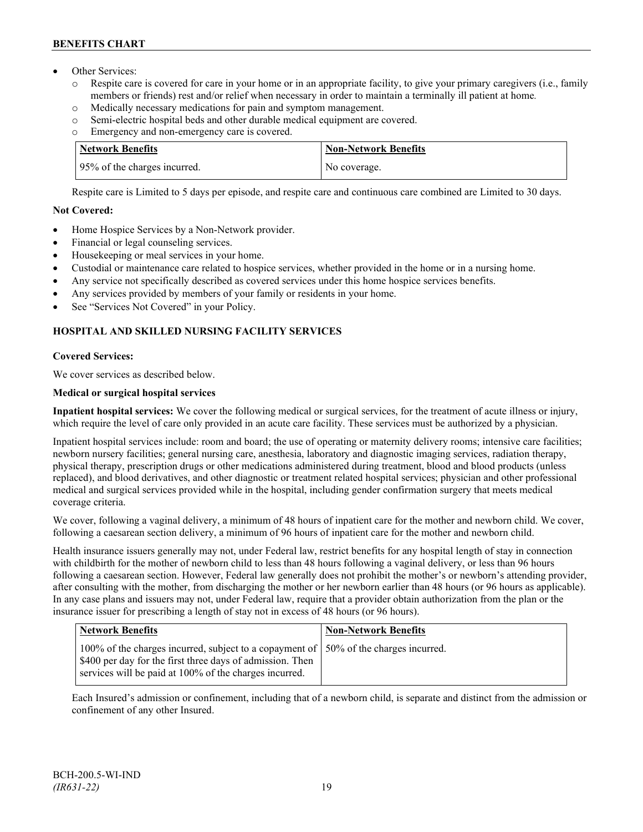- Other Services:
	- o Respite care is covered for care in your home or in an appropriate facility, to give your primary caregivers (i.e., family members or friends) rest and/or relief when necessary in order to maintain a terminally ill patient at home*.*
	- o Medically necessary medications for pain and symptom management.
	- o Semi-electric hospital beds and other durable medical equipment are covered.
	- o Emergency and non-emergency care is covered.

| Network Benefits             | <b>Non-Network Benefits</b> |
|------------------------------|-----------------------------|
| 95% of the charges incurred. | No coverage.                |

Respite care is Limited to 5 days per episode, and respite care and continuous care combined are Limited to 30 days.

# **Not Covered:**

- Home Hospice Services by a Non-Network provider.
- Financial or legal counseling services.
- Housekeeping or meal services in your home.
- Custodial or maintenance care related to hospice services, whether provided in the home or in a nursing home.
- Any service not specifically described as covered services under this home hospice services benefits.
- Any services provided by members of your family or residents in your home.
- See "Services Not Covered" in your Policy.

# **HOSPITAL AND SKILLED NURSING FACILITY SERVICES**

# **Covered Services:**

We cover services as described below.

# **Medical or surgical hospital services**

**Inpatient hospital services:** We cover the following medical or surgical services, for the treatment of acute illness or injury, which require the level of care only provided in an acute care facility. These services must be authorized by a physician.

Inpatient hospital services include: room and board; the use of operating or maternity delivery rooms; intensive care facilities; newborn nursery facilities; general nursing care, anesthesia, laboratory and diagnostic imaging services, radiation therapy, physical therapy, prescription drugs or other medications administered during treatment, blood and blood products (unless replaced), and blood derivatives, and other diagnostic or treatment related hospital services; physician and other professional medical and surgical services provided while in the hospital, including gender confirmation surgery that meets medical coverage criteria.

We cover, following a vaginal delivery, a minimum of 48 hours of inpatient care for the mother and newborn child. We cover, following a caesarean section delivery, a minimum of 96 hours of inpatient care for the mother and newborn child.

Health insurance issuers generally may not, under Federal law, restrict benefits for any hospital length of stay in connection with childbirth for the mother of newborn child to less than 48 hours following a vaginal delivery, or less than 96 hours following a caesarean section. However, Federal law generally does not prohibit the mother's or newborn's attending provider, after consulting with the mother, from discharging the mother or her newborn earlier than 48 hours (or 96 hours as applicable). In any case plans and issuers may not, under Federal law, require that a provider obtain authorization from the plan or the insurance issuer for prescribing a length of stay not in excess of 48 hours (or 96 hours).

| <b>Network Benefits</b>                                                                                                                                                                                       | <b>Non-Network Benefits</b> |
|---------------------------------------------------------------------------------------------------------------------------------------------------------------------------------------------------------------|-----------------------------|
| 100% of the charges incurred, subject to a copayment of   50% of the charges incurred.<br>\$400 per day for the first three days of admission. Then<br>services will be paid at 100% of the charges incurred. |                             |

Each Insured's admission or confinement, including that of a newborn child, is separate and distinct from the admission or confinement of any other Insured.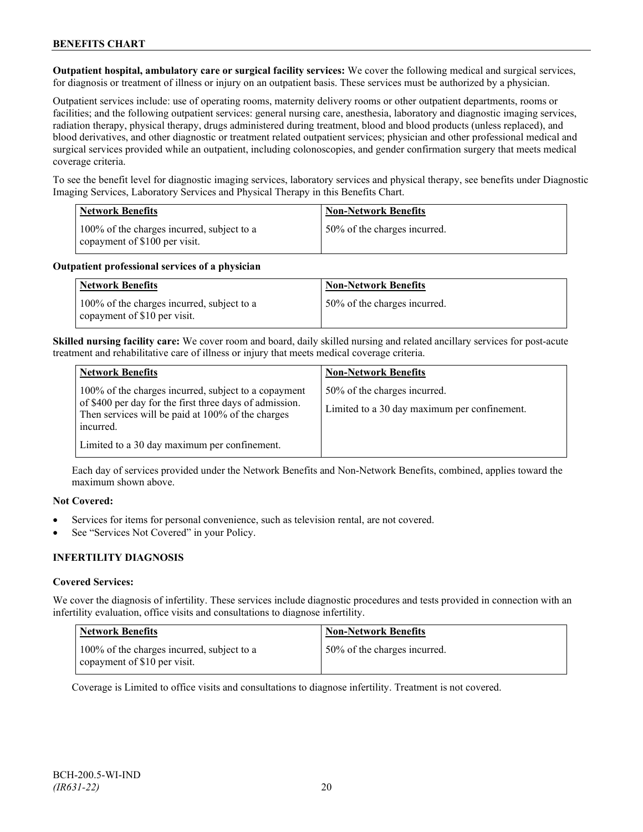**Outpatient hospital, ambulatory care or surgical facility services:** We cover the following medical and surgical services, for diagnosis or treatment of illness or injury on an outpatient basis. These services must be authorized by a physician.

Outpatient services include: use of operating rooms, maternity delivery rooms or other outpatient departments, rooms or facilities; and the following outpatient services: general nursing care, anesthesia, laboratory and diagnostic imaging services, radiation therapy, physical therapy, drugs administered during treatment, blood and blood products (unless replaced), and blood derivatives, and other diagnostic or treatment related outpatient services; physician and other professional medical and surgical services provided while an outpatient, including colonoscopies, and gender confirmation surgery that meets medical coverage criteria.

To see the benefit level for diagnostic imaging services, laboratory services and physical therapy, see benefits under Diagnostic Imaging Services, Laboratory Services and Physical Therapy in this Benefits Chart.

| <b>Network Benefits</b>                                                     | <b>Non-Network Benefits</b>  |
|-----------------------------------------------------------------------------|------------------------------|
| 100% of the charges incurred, subject to a<br>copayment of \$100 per visit. | 50% of the charges incurred. |

### **Outpatient professional services of a physician**

| <b>Network Benefits</b>                                                    | <b>Non-Network Benefits</b>  |
|----------------------------------------------------------------------------|------------------------------|
| 100% of the charges incurred, subject to a<br>copayment of \$10 per visit. | 50% of the charges incurred. |

**Skilled nursing facility care:** We cover room and board, daily skilled nursing and related ancillary services for post-acute treatment and rehabilitative care of illness or injury that meets medical coverage criteria.

| <b>Network Benefits</b>                                                                                         | <b>Non-Network Benefits</b>                  |
|-----------------------------------------------------------------------------------------------------------------|----------------------------------------------|
| 100% of the charges incurred, subject to a copayment<br>of \$400 per day for the first three days of admission. | 50% of the charges incurred.                 |
| Then services will be paid at 100% of the charges<br>incurred.                                                  | Limited to a 30 day maximum per confinement. |
| Limited to a 30 day maximum per confinement.                                                                    |                                              |

Each day of services provided under the Network Benefits and Non-Network Benefits, combined, applies toward the maximum shown above.

# **Not Covered:**

- Services for items for personal convenience, such as television rental, are not covered.
- See "Services Not Covered" in your Policy.

# **INFERTILITY DIAGNOSIS**

# **Covered Services:**

We cover the diagnosis of infertility. These services include diagnostic procedures and tests provided in connection with an infertility evaluation, office visits and consultations to diagnose infertility.

| <b>Network Benefits</b>                                                    | <b>Non-Network Benefits</b>  |
|----------------------------------------------------------------------------|------------------------------|
| 100% of the charges incurred, subject to a<br>copayment of \$10 per visit. | 50% of the charges incurred. |

Coverage is Limited to office visits and consultations to diagnose infertility. Treatment is not covered.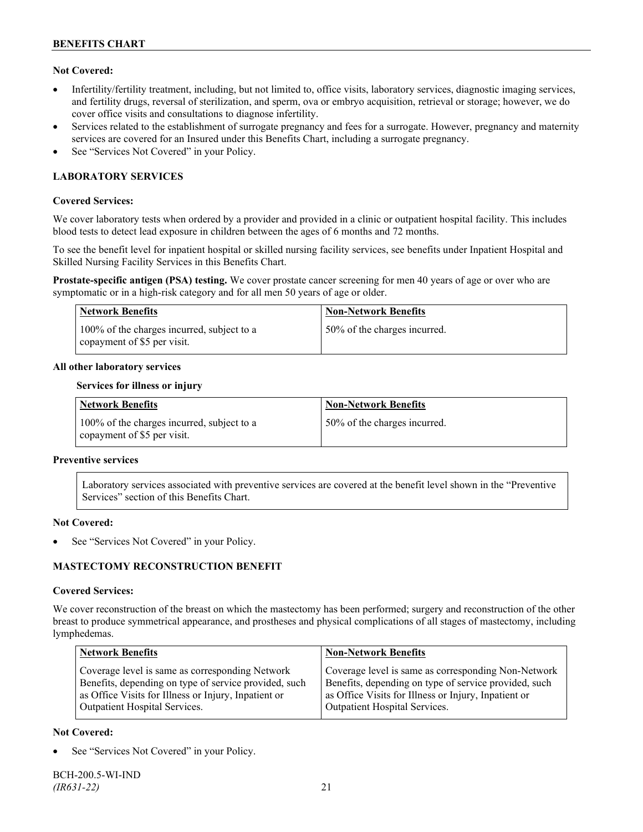# **Not Covered:**

- Infertility/fertility treatment, including, but not limited to, office visits, laboratory services, diagnostic imaging services, and fertility drugs, reversal of sterilization, and sperm, ova or embryo acquisition, retrieval or storage; however, we do cover office visits and consultations to diagnose infertility.
- Services related to the establishment of surrogate pregnancy and fees for a surrogate. However, pregnancy and maternity services are covered for an Insured under this Benefits Chart, including a surrogate pregnancy.
- See "Services Not Covered" in your Policy.

# **LABORATORY SERVICES**

### **Covered Services:**

We cover laboratory tests when ordered by a provider and provided in a clinic or outpatient hospital facility. This includes blood tests to detect lead exposure in children between the ages of 6 months and 72 months.

To see the benefit level for inpatient hospital or skilled nursing facility services, see benefits under Inpatient Hospital and Skilled Nursing Facility Services in this Benefits Chart.

**Prostate-specific antigen (PSA) testing.** We cover prostate cancer screening for men 40 years of age or over who are symptomatic or in a high-risk category and for all men 50 years of age or older.

| <b>Network Benefits</b>                                                   | <b>Non-Network Benefits</b>  |
|---------------------------------------------------------------------------|------------------------------|
| 100% of the charges incurred, subject to a<br>copayment of \$5 per visit. | 50% of the charges incurred. |

### **All other laboratory services**

#### **Services for illness or injury**

| Network Benefits                                                          | <b>Non-Network Benefits</b>  |
|---------------------------------------------------------------------------|------------------------------|
| 100% of the charges incurred, subject to a<br>copayment of \$5 per visit. | 50% of the charges incurred. |

#### **Preventive services**

Laboratory services associated with preventive services are covered at the benefit level shown in the "Preventive Services" section of this Benefits Chart.

#### **Not Covered:**

See "Services Not Covered" in your Policy.

# **MASTECTOMY RECONSTRUCTION BENEFIT**

#### **Covered Services:**

We cover reconstruction of the breast on which the mastectomy has been performed; surgery and reconstruction of the other breast to produce symmetrical appearance, and prostheses and physical complications of all stages of mastectomy, including lymphedemas.

| <b>Network Benefits</b>                               | <b>Non-Network Benefits</b>                           |
|-------------------------------------------------------|-------------------------------------------------------|
| Coverage level is same as corresponding Network       | Coverage level is same as corresponding Non-Network   |
| Benefits, depending on type of service provided, such | Benefits, depending on type of service provided, such |
| as Office Visits for Illness or Injury, Inpatient or  | as Office Visits for Illness or Injury, Inpatient or  |
| Outpatient Hospital Services.                         | Outpatient Hospital Services.                         |

# **Not Covered:**

See "Services Not Covered" in your Policy.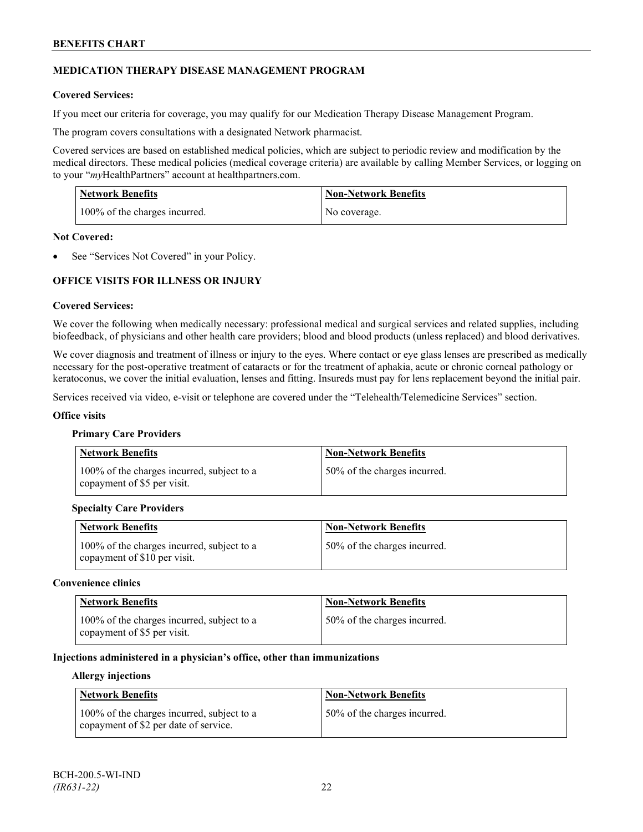# **MEDICATION THERAPY DISEASE MANAGEMENT PROGRAM**

# **Covered Services:**

If you meet our criteria for coverage, you may qualify for our Medication Therapy Disease Management Program.

The program covers consultations with a designated Network pharmacist.

Covered services are based on established medical policies, which are subject to periodic review and modification by the medical directors. These medical policies (medical coverage criteria) are available by calling Member Services, or logging on to your "*my*HealthPartners" account at [healthpartners.com.](http://www.healthpartners.com/)

| <b>Network Benefits</b>       | <b>Non-Network Benefits</b> |
|-------------------------------|-----------------------------|
| 100% of the charges incurred. | No coverage.                |

### **Not Covered:**

See "Services Not Covered" in your Policy.

# **OFFICE VISITS FOR ILLNESS OR INJURY**

### **Covered Services:**

We cover the following when medically necessary: professional medical and surgical services and related supplies, including biofeedback, of physicians and other health care providers; blood and blood products (unless replaced) and blood derivatives.

We cover diagnosis and treatment of illness or injury to the eyes. Where contact or eye glass lenses are prescribed as medically necessary for the post-operative treatment of cataracts or for the treatment of aphakia, acute or chronic corneal pathology or keratoconus, we cover the initial evaluation, lenses and fitting. Insureds must pay for lens replacement beyond the initial pair.

Services received via video, e-visit or telephone are covered under the "Telehealth/Telemedicine Services" section.

#### **Office visits**

#### **Primary Care Providers**

| <b>Network Benefits</b>                                                   | <b>Non-Network Benefits</b>  |
|---------------------------------------------------------------------------|------------------------------|
| 100% of the charges incurred, subject to a<br>copayment of \$5 per visit. | 50% of the charges incurred. |

# **Specialty Care Providers**

| Network Benefits                                                            | <b>Non-Network Benefits</b>  |
|-----------------------------------------------------------------------------|------------------------------|
| 100% of the charges incurred, subject to a<br>copayment of $$10$ per visit. | 50% of the charges incurred. |

#### **Convenience clinics**

| <b>Network Benefits</b>                                                   | <b>Non-Network Benefits</b>  |
|---------------------------------------------------------------------------|------------------------------|
| 100% of the charges incurred, subject to a<br>copayment of \$5 per visit. | 50% of the charges incurred. |

### **Injections administered in a physician's office, other than immunizations**

#### **Allergy injections**

| <b>Network Benefits</b>                                                             | Non-Network Benefits         |
|-------------------------------------------------------------------------------------|------------------------------|
| 100% of the charges incurred, subject to a<br>copayment of \$2 per date of service. | 50% of the charges incurred. |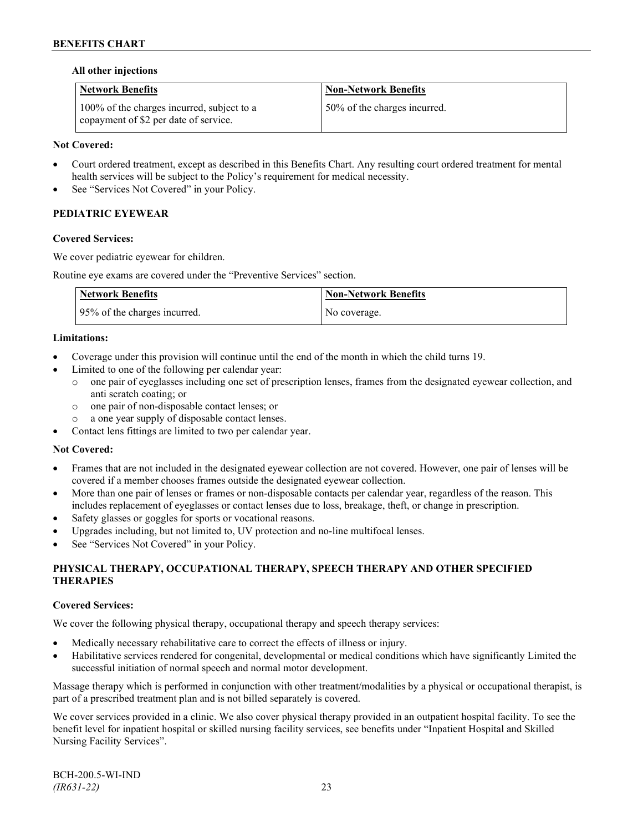# **All other injections**

| <b>Network Benefits</b>                                                             | <b>Non-Network Benefits</b>  |
|-------------------------------------------------------------------------------------|------------------------------|
| 100% of the charges incurred, subject to a<br>copayment of \$2 per date of service. | 50% of the charges incurred. |

# **Not Covered:**

- Court ordered treatment, except as described in this Benefits Chart. Any resulting court ordered treatment for mental health services will be subject to the Policy's requirement for medical necessity.
- See "Services Not Covered" in your Policy.

# **PEDIATRIC EYEWEAR**

### **Covered Services:**

We cover pediatric eyewear for children.

Routine eye exams are covered under the "Preventive Services" section.

| <b>Network Benefits</b>      | <b>Non-Network Benefits</b> |
|------------------------------|-----------------------------|
| 95% of the charges incurred. | No coverage.                |

### **Limitations:**

- Coverage under this provision will continue until the end of the month in which the child turns 19.
- Limited to one of the following per calendar year:
	- o one pair of eyeglasses including one set of prescription lenses, frames from the designated eyewear collection, and anti scratch coating; or
	- o one pair of non-disposable contact lenses; or
	- a one year supply of disposable contact lenses.
- Contact lens fittings are limited to two per calendar year.

#### **Not Covered:**

- Frames that are not included in the designated eyewear collection are not covered. However, one pair of lenses will be covered if a member chooses frames outside the designated eyewear collection.
- More than one pair of lenses or frames or non-disposable contacts per calendar year, regardless of the reason. This includes replacement of eyeglasses or contact lenses due to loss, breakage, theft, or change in prescription.
- Safety glasses or goggles for sports or vocational reasons.
- Upgrades including, but not limited to, UV protection and no-line multifocal lenses.
- See "Services Not Covered" in your Policy.

# **PHYSICAL THERAPY, OCCUPATIONAL THERAPY, SPEECH THERAPY AND OTHER SPECIFIED THERAPIES**

# **Covered Services:**

We cover the following physical therapy, occupational therapy and speech therapy services:

- Medically necessary rehabilitative care to correct the effects of illness or injury.
- Habilitative services rendered for congenital, developmental or medical conditions which have significantly Limited the successful initiation of normal speech and normal motor development.

Massage therapy which is performed in conjunction with other treatment/modalities by a physical or occupational therapist, is part of a prescribed treatment plan and is not billed separately is covered.

We cover services provided in a clinic. We also cover physical therapy provided in an outpatient hospital facility. To see the benefit level for inpatient hospital or skilled nursing facility services, see benefits under "Inpatient Hospital and Skilled Nursing Facility Services".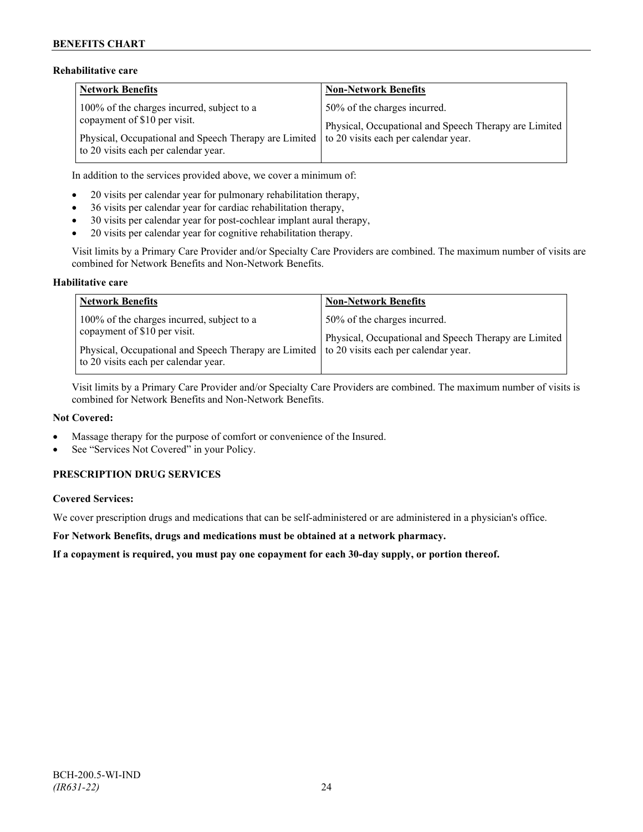# **Rehabilitative care**

| <b>Network Benefits</b>                                                                                                            | <b>Non-Network Benefits</b>                                                           |
|------------------------------------------------------------------------------------------------------------------------------------|---------------------------------------------------------------------------------------|
| 100% of the charges incurred, subject to a<br>copayment of \$10 per visit.                                                         | 50% of the charges incurred.<br>Physical, Occupational and Speech Therapy are Limited |
| Physical, Occupational and Speech Therapy are Limited to 20 visits each per calendar year.<br>to 20 visits each per calendar year. |                                                                                       |

In addition to the services provided above, we cover a minimum of:

- 20 visits per calendar year for pulmonary rehabilitation therapy,
- 36 visits per calendar year for cardiac rehabilitation therapy,
- 30 visits per calendar year for post-cochlear implant aural therapy,
- 20 visits per calendar year for cognitive rehabilitation therapy.

Visit limits by a Primary Care Provider and/or Specialty Care Providers are combined. The maximum number of visits are combined for Network Benefits and Non-Network Benefits.

### **Habilitative care**

| <b>Network Benefits</b>                                                                                                                                                                                          | <b>Non-Network Benefits</b>                                                           |
|------------------------------------------------------------------------------------------------------------------------------------------------------------------------------------------------------------------|---------------------------------------------------------------------------------------|
| 100% of the charges incurred, subject to a<br>copayment of \$10 per visit.<br>Physical, Occupational and Speech Therapy are Limited to 20 visits each per calendar year.<br>to 20 visits each per calendar year. | 50% of the charges incurred.<br>Physical, Occupational and Speech Therapy are Limited |

Visit limits by a Primary Care Provider and/or Specialty Care Providers are combined. The maximum number of visits is combined for Network Benefits and Non-Network Benefits.

#### **Not Covered:**

- Massage therapy for the purpose of comfort or convenience of the Insured.
- See "Services Not Covered" in your Policy.

# **PRESCRIPTION DRUG SERVICES**

# **Covered Services:**

We cover prescription drugs and medications that can be self-administered or are administered in a physician's office.

**For Network Benefits, drugs and medications must be obtained at a network pharmacy.**

**If a copayment is required, you must pay one copayment for each 30-day supply, or portion thereof.**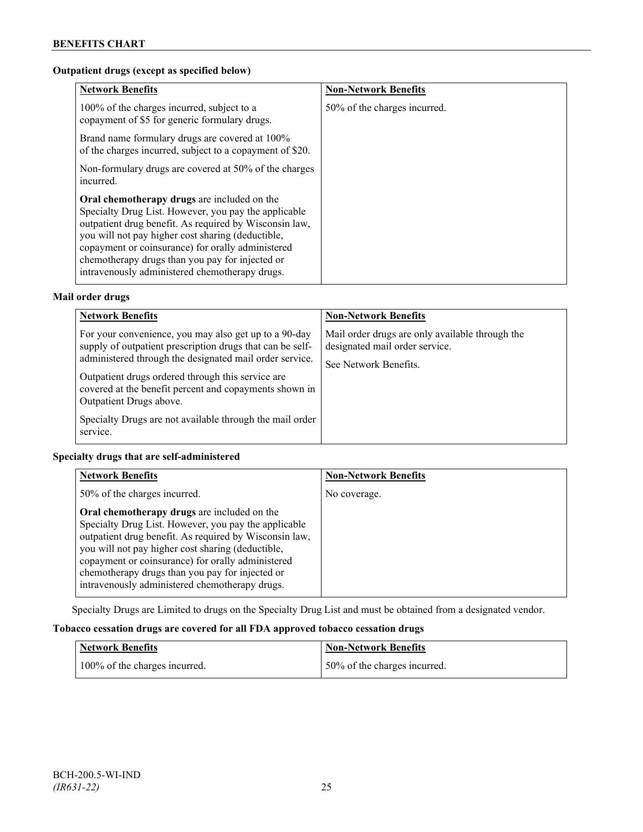# **Outpatient drugs (except as specified below)**

| <b>Network Benefits</b>                                                                                                                                                                                                                                                                                                                                                      | <b>Non-Network Benefits</b>  |
|------------------------------------------------------------------------------------------------------------------------------------------------------------------------------------------------------------------------------------------------------------------------------------------------------------------------------------------------------------------------------|------------------------------|
| 100% of the charges incurred, subject to a<br>copayment of \$5 for generic formulary drugs.                                                                                                                                                                                                                                                                                  | 50% of the charges incurred. |
| Brand name formulary drugs are covered at 100%<br>of the charges incurred, subject to a copayment of \$20.                                                                                                                                                                                                                                                                   |                              |
| Non-formulary drugs are covered at 50% of the charges<br>incurred.                                                                                                                                                                                                                                                                                                           |                              |
| Oral chemotherapy drugs are included on the<br>Specialty Drug List. However, you pay the applicable<br>outpatient drug benefit. As required by Wisconsin law,<br>you will not pay higher cost sharing (deductible,<br>copayment or coinsurance) for orally administered<br>chemotherapy drugs than you pay for injected or<br>intravenously administered chemotherapy drugs. |                              |

# **Mail order drugs**

| <b>Network Benefits</b>                                                                                                                                                                                                                                                                                                                                                                          | <b>Non-Network Benefits</b>                                                                                |
|--------------------------------------------------------------------------------------------------------------------------------------------------------------------------------------------------------------------------------------------------------------------------------------------------------------------------------------------------------------------------------------------------|------------------------------------------------------------------------------------------------------------|
| For your convenience, you may also get up to a 90-day<br>supply of outpatient prescription drugs that can be self-<br>administered through the designated mail order service.<br>Outpatient drugs ordered through this service are.<br>covered at the benefit percent and copayments shown in<br>Outpatient Drugs above.<br>Specialty Drugs are not available through the mail order<br>service. | Mail order drugs are only available through the<br>designated mail order service.<br>See Network Benefits. |

# **Specialty drugs that are self-administered**

| <b>Network Benefits</b>                                                                                                                                                                                                                                                                                                                                                      | <b>Non-Network Benefits</b> |
|------------------------------------------------------------------------------------------------------------------------------------------------------------------------------------------------------------------------------------------------------------------------------------------------------------------------------------------------------------------------------|-----------------------------|
| 50% of the charges incurred.                                                                                                                                                                                                                                                                                                                                                 | No coverage.                |
| Oral chemotherapy drugs are included on the<br>Specialty Drug List. However, you pay the applicable<br>outpatient drug benefit. As required by Wisconsin law,<br>you will not pay higher cost sharing (deductible,<br>copayment or coinsurance) for orally administered<br>chemotherapy drugs than you pay for injected or<br>intravenously administered chemotherapy drugs. |                             |

Specialty Drugs are Limited to drugs on the Specialty Drug List and must be obtained from a designated vendor.

# **Tobacco cessation drugs are covered for all FDA approved tobacco cessation drugs**

| <b>Network Benefits</b>       | <b>Non-Network Benefits</b>  |
|-------------------------------|------------------------------|
| 100% of the charges incurred. | 50% of the charges incurred. |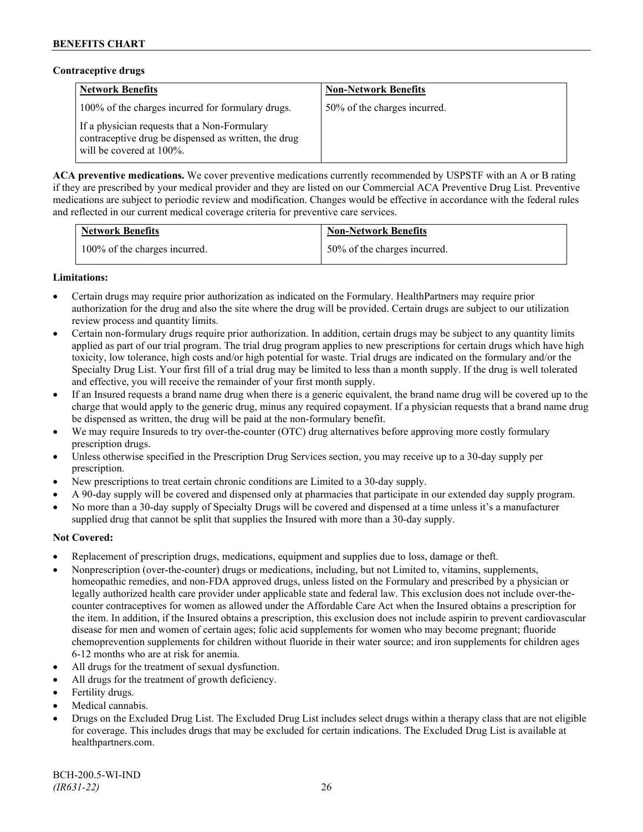### **Contraceptive drugs**

| <b>Network Benefits</b>                                                                                                          | <b>Non-Network Benefits</b>  |
|----------------------------------------------------------------------------------------------------------------------------------|------------------------------|
| 100% of the charges incurred for formulary drugs.                                                                                | 50% of the charges incurred. |
| If a physician requests that a Non-Formulary<br>contraceptive drug be dispensed as written, the drug<br>will be covered at 100%. |                              |

**ACA preventive medications.** We cover preventive medications currently recommended by USPSTF with an A or B rating if they are prescribed by your medical provider and they are listed on our Commercial ACA Preventive Drug List. Preventive medications are subject to periodic review and modification. Changes would be effective in accordance with the federal rules and reflected in our current medical coverage criteria for preventive care services.

| <b>Network Benefits</b>       | <b>Non-Network Benefits</b>  |
|-------------------------------|------------------------------|
| 100% of the charges incurred. | 50% of the charges incurred. |

# **Limitations:**

- Certain drugs may require prior authorization as indicated on the Formulary. HealthPartners may require prior authorization for the drug and also the site where the drug will be provided. Certain drugs are subject to our utilization review process and quantity limits.
- Certain non-formulary drugs require prior authorization. In addition, certain drugs may be subject to any quantity limits applied as part of our trial program. The trial drug program applies to new prescriptions for certain drugs which have high toxicity, low tolerance, high costs and/or high potential for waste. Trial drugs are indicated on the formulary and/or the Specialty Drug List. Your first fill of a trial drug may be limited to less than a month supply. If the drug is well tolerated and effective, you will receive the remainder of your first month supply.
- If an Insured requests a brand name drug when there is a generic equivalent, the brand name drug will be covered up to the charge that would apply to the generic drug, minus any required copayment. If a physician requests that a brand name drug be dispensed as written, the drug will be paid at the non-formulary benefit.
- We may require Insureds to try over-the-counter (OTC) drug alternatives before approving more costly formulary prescription drugs.
- Unless otherwise specified in the Prescription Drug Services section, you may receive up to a 30-day supply per prescription.
- New prescriptions to treat certain chronic conditions are Limited to a 30-day supply.
- A 90-day supply will be covered and dispensed only at pharmacies that participate in our extended day supply program.
- No more than a 30-day supply of Specialty Drugs will be covered and dispensed at a time unless it's a manufacturer supplied drug that cannot be split that supplies the Insured with more than a 30-day supply.

# **Not Covered:**

- Replacement of prescription drugs, medications, equipment and supplies due to loss, damage or theft.
- Nonprescription (over-the-counter) drugs or medications, including, but not Limited to, vitamins, supplements, homeopathic remedies, and non-FDA approved drugs, unless listed on the Formulary and prescribed by a physician or legally authorized health care provider under applicable state and federal law. This exclusion does not include over-thecounter contraceptives for women as allowed under the Affordable Care Act when the Insured obtains a prescription for the item. In addition, if the Insured obtains a prescription, this exclusion does not include aspirin to prevent cardiovascular disease for men and women of certain ages; folic acid supplements for women who may become pregnant; fluoride chemoprevention supplements for children without fluoride in their water source; and iron supplements for children ages 6-12 months who are at risk for anemia.
- All drugs for the treatment of sexual dysfunction.
- All drugs for the treatment of growth deficiency.
- Fertility drugs.
- Medical cannabis.
- Drugs on the Excluded Drug List. The Excluded Drug List includes select drugs within a therapy class that are not eligible for coverage. This includes drugs that may be excluded for certain indications. The Excluded Drug List is available at [healthpartners.com.](http://www.healthpartners.com/)

BCH-200.5-WI-IND *(IR631-22)* 26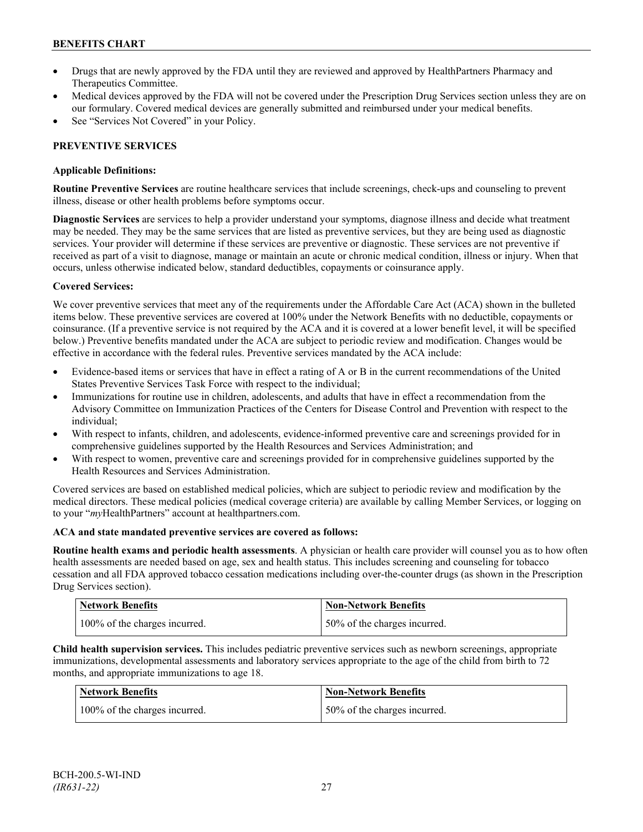- Drugs that are newly approved by the FDA until they are reviewed and approved by HealthPartners Pharmacy and Therapeutics Committee.
- Medical devices approved by the FDA will not be covered under the Prescription Drug Services section unless they are on our formulary. Covered medical devices are generally submitted and reimbursed under your medical benefits.
- See "Services Not Covered" in your Policy.

# **PREVENTIVE SERVICES**

### **Applicable Definitions:**

**Routine Preventive Services** are routine healthcare services that include screenings, check-ups and counseling to prevent illness, disease or other health problems before symptoms occur.

**Diagnostic Services** are services to help a provider understand your symptoms, diagnose illness and decide what treatment may be needed. They may be the same services that are listed as preventive services, but they are being used as diagnostic services. Your provider will determine if these services are preventive or diagnostic. These services are not preventive if received as part of a visit to diagnose, manage or maintain an acute or chronic medical condition, illness or injury. When that occurs, unless otherwise indicated below, standard deductibles, copayments or coinsurance apply.

# **Covered Services:**

We cover preventive services that meet any of the requirements under the Affordable Care Act (ACA) shown in the bulleted items below. These preventive services are covered at 100% under the Network Benefits with no deductible, copayments or coinsurance. (If a preventive service is not required by the ACA and it is covered at a lower benefit level, it will be specified below.) Preventive benefits mandated under the ACA are subject to periodic review and modification. Changes would be effective in accordance with the federal rules. Preventive services mandated by the ACA include:

- Evidence-based items or services that have in effect a rating of A or B in the current recommendations of the United States Preventive Services Task Force with respect to the individual;
- Immunizations for routine use in children, adolescents, and adults that have in effect a recommendation from the Advisory Committee on Immunization Practices of the Centers for Disease Control and Prevention with respect to the individual;
- With respect to infants, children, and adolescents, evidence-informed preventive care and screenings provided for in comprehensive guidelines supported by the Health Resources and Services Administration; and
- With respect to women, preventive care and screenings provided for in comprehensive guidelines supported by the Health Resources and Services Administration.

Covered services are based on established medical policies, which are subject to periodic review and modification by the medical directors. These medical policies (medical coverage criteria) are available by calling Member Services, or logging on to your "*my*HealthPartners" account at [healthpartners.com.](http://www.healthpartners.com/)

# **ACA and state mandated preventive services are covered as follows:**

**Routine health exams and periodic health assessments**. A physician or health care provider will counsel you as to how often health assessments are needed based on age, sex and health status. This includes screening and counseling for tobacco cessation and all FDA approved tobacco cessation medications including over-the-counter drugs (as shown in the Prescription Drug Services section).

| <b>Network Benefits</b>       | Non-Network Benefits         |
|-------------------------------|------------------------------|
| 100% of the charges incurred. | 50% of the charges incurred. |

**Child health supervision services.** This includes pediatric preventive services such as newborn screenings, appropriate immunizations, developmental assessments and laboratory services appropriate to the age of the child from birth to 72 months, and appropriate immunizations to age 18.

| Network Benefits              | <b>Non-Network Benefits</b>  |
|-------------------------------|------------------------------|
| 100% of the charges incurred. | 50% of the charges incurred. |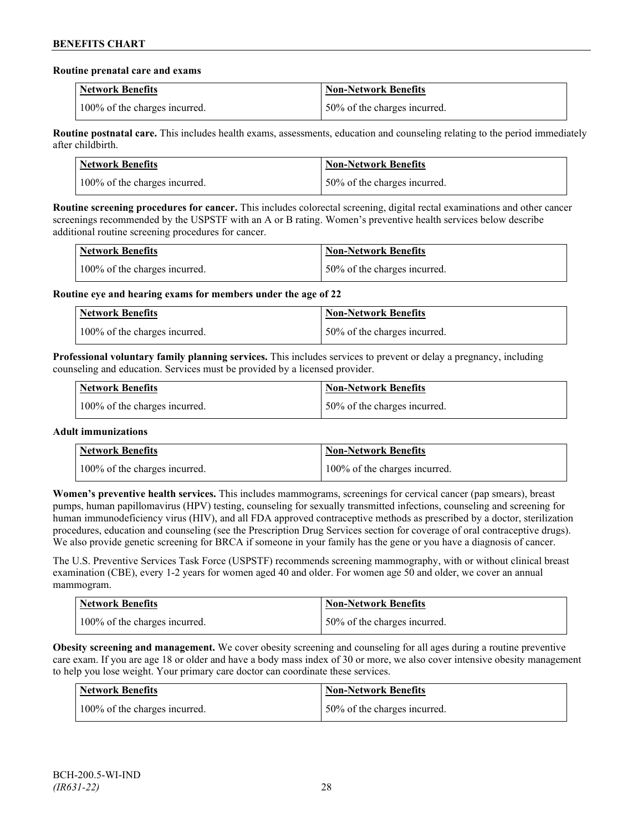### **Routine prenatal care and exams**

| <b>Network Benefits</b>       | <b>Non-Network Benefits</b>  |
|-------------------------------|------------------------------|
| 100% of the charges incurred. | 50% of the charges incurred. |

**Routine postnatal care.** This includes health exams, assessments, education and counseling relating to the period immediately after childbirth.

| <b>Network Benefits</b>       | <b>Non-Network Benefits</b>   |
|-------------------------------|-------------------------------|
| 100% of the charges incurred. | 150% of the charges incurred. |

**Routine screening procedures for cancer.** This includes colorectal screening, digital rectal examinations and other cancer screenings recommended by the USPSTF with an A or B rating. Women's preventive health services below describe additional routine screening procedures for cancer.

| Network Benefits              | <b>Non-Network Benefits</b>  |
|-------------------------------|------------------------------|
| 100% of the charges incurred. | 50% of the charges incurred. |

**Routine eye and hearing exams for members under the age of 22**

| <b>Network Benefits</b>       | <b>Non-Network Benefits</b>  |
|-------------------------------|------------------------------|
| 100% of the charges incurred. | 50% of the charges incurred. |

**Professional voluntary family planning services.** This includes services to prevent or delay a pregnancy, including counseling and education. Services must be provided by a licensed provider.

| Network Benefits              | <b>Non-Network Benefits</b>  |
|-------------------------------|------------------------------|
| 100% of the charges incurred. | 50% of the charges incurred. |

# **Adult immunizations**

| <b>Network Benefits</b>       | <b>Non-Network Benefits</b>   |
|-------------------------------|-------------------------------|
| 100% of the charges incurred. | 100% of the charges incurred. |

**Women's preventive health services.** This includes mammograms, screenings for cervical cancer (pap smears), breast pumps, human papillomavirus (HPV) testing, counseling for sexually transmitted infections, counseling and screening for human immunodeficiency virus (HIV), and all FDA approved contraceptive methods as prescribed by a doctor, sterilization procedures, education and counseling (see the Prescription Drug Services section for coverage of oral contraceptive drugs). We also provide genetic screening for BRCA if someone in your family has the gene or you have a diagnosis of cancer.

The U.S. Preventive Services Task Force (USPSTF) recommends screening mammography, with or without clinical breast examination (CBE), every 1-2 years for women aged 40 and older. For women age 50 and older, we cover an annual mammogram.

| <b>Network Benefits</b>       | Non-Network Benefits         |
|-------------------------------|------------------------------|
| 100% of the charges incurred. | 50% of the charges incurred. |

**Obesity screening and management.** We cover obesity screening and counseling for all ages during a routine preventive care exam. If you are age 18 or older and have a body mass index of 30 or more, we also cover intensive obesity management to help you lose weight. Your primary care doctor can coordinate these services.

| Network Benefits              | <b>Non-Network Benefits</b>  |
|-------------------------------|------------------------------|
| 100% of the charges incurred. | 50% of the charges incurred. |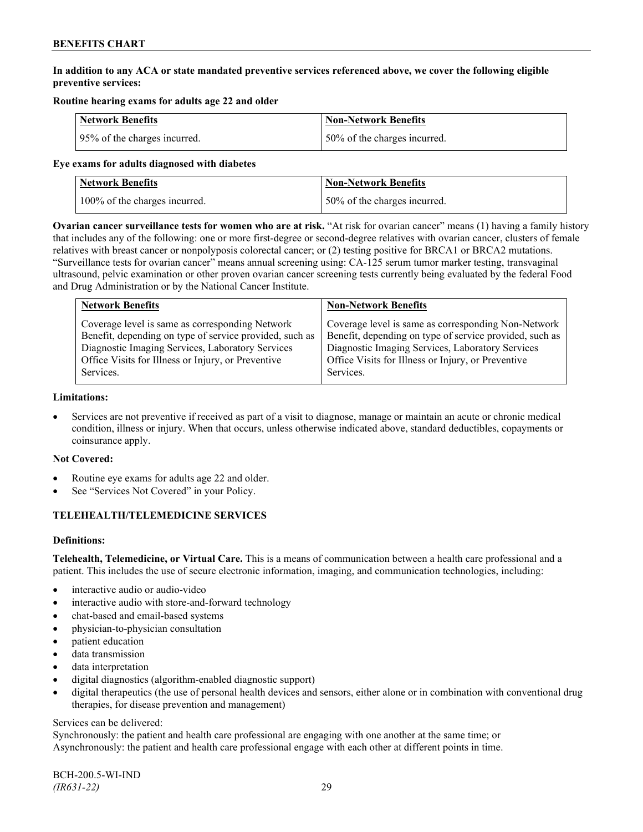# **In addition to any ACA or state mandated preventive services referenced above, we cover the following eligible preventive services:**

# **Routine hearing exams for adults age 22 and older**

| <b>Network Benefits</b>      | <b>Non-Network Benefits</b>  |
|------------------------------|------------------------------|
| 95% of the charges incurred. | 50% of the charges incurred. |

### **Eye exams for adults diagnosed with diabetes**

| Network Benefits              | <b>Non-Network Benefits</b>  |
|-------------------------------|------------------------------|
| 100% of the charges incurred. | 50% of the charges incurred. |

**Ovarian cancer surveillance tests for women who are at risk.** "At risk for ovarian cancer" means (1) having a family history that includes any of the following: one or more first-degree or second-degree relatives with ovarian cancer, clusters of female relatives with breast cancer or nonpolyposis colorectal cancer; or (2) testing positive for BRCA1 or BRCA2 mutations. "Surveillance tests for ovarian cancer" means annual screening using: CA-125 serum tumor marker testing, transvaginal ultrasound, pelvic examination or other proven ovarian cancer screening tests currently being evaluated by the federal Food and Drug Administration or by the National Cancer Institute.

| <b>Network Benefits</b>                                 | <b>Non-Network Benefits</b>                             |
|---------------------------------------------------------|---------------------------------------------------------|
| Coverage level is same as corresponding Network         | Coverage level is same as corresponding Non-Network     |
| Benefit, depending on type of service provided, such as | Benefit, depending on type of service provided, such as |
| Diagnostic Imaging Services, Laboratory Services        | Diagnostic Imaging Services, Laboratory Services        |
| Office Visits for Illness or Injury, or Preventive      | Office Visits for Illness or Injury, or Preventive      |
| Services.                                               | Services.                                               |

#### **Limitations:**

• Services are not preventive if received as part of a visit to diagnose, manage or maintain an acute or chronic medical condition, illness or injury. When that occurs, unless otherwise indicated above, standard deductibles, copayments or coinsurance apply.

# **Not Covered:**

- Routine eye exams for adults age 22 and older.
- See "Services Not Covered" in your Policy.

# **TELEHEALTH/TELEMEDICINE SERVICES**

# **Definitions:**

**Telehealth, Telemedicine, or Virtual Care.** This is a means of communication between a health care professional and a patient. This includes the use of secure electronic information, imaging, and communication technologies, including:

- interactive audio or audio-video
- interactive audio with store-and-forward technology
- chat-based and email-based systems
- physician-to-physician consultation
- patient education
- data transmission
- data interpretation
- digital diagnostics (algorithm-enabled diagnostic support)
- digital therapeutics (the use of personal health devices and sensors, either alone or in combination with conventional drug therapies, for disease prevention and management)

#### Services can be delivered:

Synchronously: the patient and health care professional are engaging with one another at the same time; or Asynchronously: the patient and health care professional engage with each other at different points in time.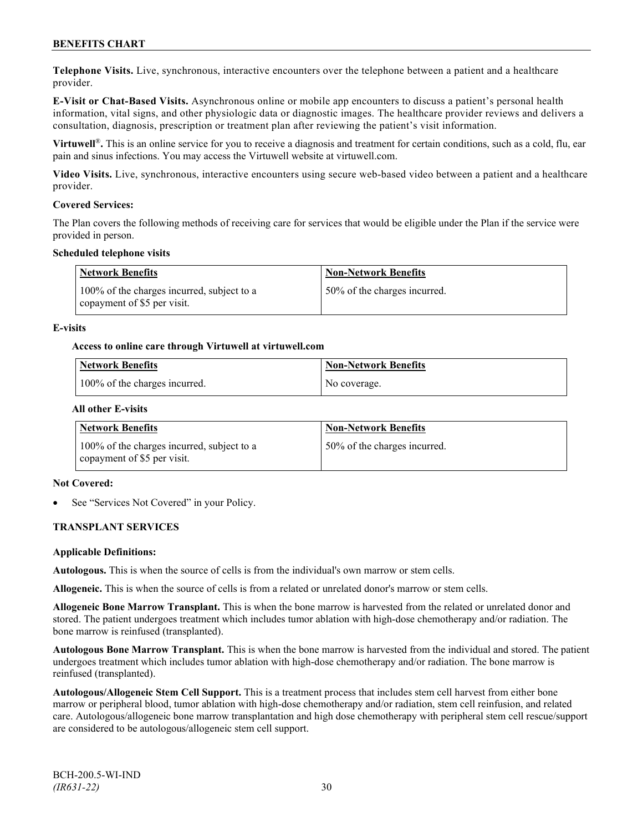**Telephone Visits.** Live, synchronous, interactive encounters over the telephone between a patient and a healthcare provider.

**E-Visit or Chat-Based Visits.** Asynchronous online or mobile app encounters to discuss a patient's personal health information, vital signs, and other physiologic data or diagnostic images. The healthcare provider reviews and delivers a consultation, diagnosis, prescription or treatment plan after reviewing the patient's visit information.

**Virtuwell<sup>®</sup>**. This is an online service for you to receive a diagnosis and treatment for certain conditions, such as a cold, flu, ear pain and sinus infections. You may access the Virtuwell website at [virtuwell.com.](https://www.virtuwell.com/)

**Video Visits.** Live, synchronous, interactive encounters using secure web-based video between a patient and a healthcare provider.

### **Covered Services:**

The Plan covers the following methods of receiving care for services that would be eligible under the Plan if the service were provided in person.

### **Scheduled telephone visits**

| Network Benefits                                                          | <b>Non-Network Benefits</b>  |
|---------------------------------------------------------------------------|------------------------------|
| 100% of the charges incurred, subject to a<br>copayment of \$5 per visit. | 50% of the charges incurred. |

### **E-visits**

### **Access to online care through Virtuwell at [virtuwell.com](http://www.virtuwell.com/)**

| Network Benefits              | <b>Non-Network Benefits</b> |
|-------------------------------|-----------------------------|
| 100% of the charges incurred. | No coverage.                |

### **All other E-visits**

| Network Benefits                                                          | <b>Non-Network Benefits</b>  |
|---------------------------------------------------------------------------|------------------------------|
| 100% of the charges incurred, subject to a<br>copayment of \$5 per visit. | 50% of the charges incurred. |

#### **Not Covered:**

See "Services Not Covered" in your Policy.

# **TRANSPLANT SERVICES**

#### **Applicable Definitions:**

**Autologous.** This is when the source of cells is from the individual's own marrow or stem cells.

**Allogeneic.** This is when the source of cells is from a related or unrelated donor's marrow or stem cells.

**Allogeneic Bone Marrow Transplant.** This is when the bone marrow is harvested from the related or unrelated donor and stored. The patient undergoes treatment which includes tumor ablation with high-dose chemotherapy and/or radiation. The bone marrow is reinfused (transplanted).

**Autologous Bone Marrow Transplant.** This is when the bone marrow is harvested from the individual and stored. The patient undergoes treatment which includes tumor ablation with high-dose chemotherapy and/or radiation. The bone marrow is reinfused (transplanted).

**Autologous/Allogeneic Stem Cell Support.** This is a treatment process that includes stem cell harvest from either bone marrow or peripheral blood, tumor ablation with high-dose chemotherapy and/or radiation, stem cell reinfusion, and related care. Autologous/allogeneic bone marrow transplantation and high dose chemotherapy with peripheral stem cell rescue/support are considered to be autologous/allogeneic stem cell support.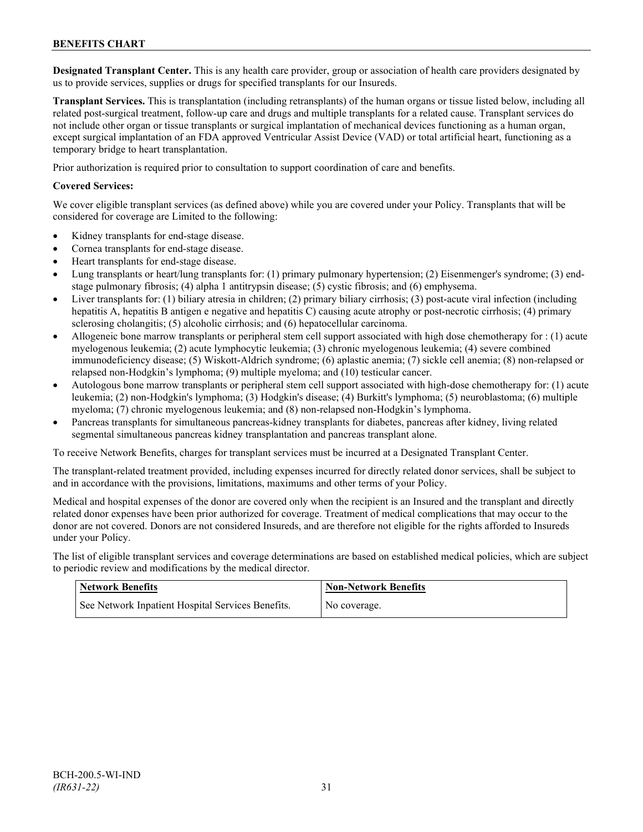**Designated Transplant Center.** This is any health care provider, group or association of health care providers designated by us to provide services, supplies or drugs for specified transplants for our Insureds.

**Transplant Services.** This is transplantation (including retransplants) of the human organs or tissue listed below, including all related post-surgical treatment, follow-up care and drugs and multiple transplants for a related cause. Transplant services do not include other organ or tissue transplants or surgical implantation of mechanical devices functioning as a human organ, except surgical implantation of an FDA approved Ventricular Assist Device (VAD) or total artificial heart, functioning as a temporary bridge to heart transplantation.

Prior authorization is required prior to consultation to support coordination of care and benefits.

### **Covered Services:**

We cover eligible transplant services (as defined above) while you are covered under your Policy. Transplants that will be considered for coverage are Limited to the following:

- Kidney transplants for end-stage disease.
- Cornea transplants for end-stage disease.
- Heart transplants for end-stage disease.
- Lung transplants or heart/lung transplants for: (1) primary pulmonary hypertension; (2) Eisenmenger's syndrome; (3) endstage pulmonary fibrosis; (4) alpha 1 antitrypsin disease; (5) cystic fibrosis; and (6) emphysema.
- Liver transplants for: (1) biliary atresia in children; (2) primary biliary cirrhosis; (3) post-acute viral infection (including hepatitis A, hepatitis B antigen e negative and hepatitis C) causing acute atrophy or post-necrotic cirrhosis; (4) primary sclerosing cholangitis; (5) alcoholic cirrhosis; and (6) hepatocellular carcinoma.
- Allogeneic bone marrow transplants or peripheral stem cell support associated with high dose chemotherapy for : (1) acute myelogenous leukemia; (2) acute lymphocytic leukemia; (3) chronic myelogenous leukemia; (4) severe combined immunodeficiency disease; (5) Wiskott-Aldrich syndrome; (6) aplastic anemia; (7) sickle cell anemia; (8) non-relapsed or relapsed non-Hodgkin's lymphoma; (9) multiple myeloma; and (10) testicular cancer.
- Autologous bone marrow transplants or peripheral stem cell support associated with high-dose chemotherapy for: (1) acute leukemia; (2) non-Hodgkin's lymphoma; (3) Hodgkin's disease; (4) Burkitt's lymphoma; (5) neuroblastoma; (6) multiple myeloma; (7) chronic myelogenous leukemia; and (8) non-relapsed non-Hodgkin's lymphoma.
- Pancreas transplants for simultaneous pancreas-kidney transplants for diabetes, pancreas after kidney, living related segmental simultaneous pancreas kidney transplantation and pancreas transplant alone.

To receive Network Benefits, charges for transplant services must be incurred at a Designated Transplant Center.

The transplant-related treatment provided, including expenses incurred for directly related donor services, shall be subject to and in accordance with the provisions, limitations, maximums and other terms of your Policy.

Medical and hospital expenses of the donor are covered only when the recipient is an Insured and the transplant and directly related donor expenses have been prior authorized for coverage. Treatment of medical complications that may occur to the donor are not covered. Donors are not considered Insureds, and are therefore not eligible for the rights afforded to Insureds under your Policy.

The list of eligible transplant services and coverage determinations are based on established medical policies, which are subject to periodic review and modifications by the medical director.

| <b>Network Benefits</b>                           | <b>Non-Network Benefits</b> |
|---------------------------------------------------|-----------------------------|
| See Network Inpatient Hospital Services Benefits. | No coverage.                |